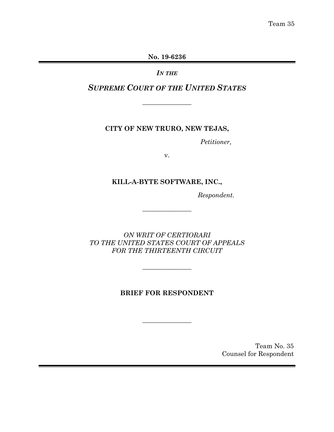Team 35

**No. 19-6236**

*IN THE*

*SUPREME COURT OF THE UNITED STATES*

 $\overline{\phantom{a}}$ 

**CITY OF NEW TRURO, NEW TEJAS,**

*Petitioner,*

v.

# **KILL-A-BYTE SOFTWARE, INC.,**

*Respondent.*

*ON WRIT OF CERTIORARI TO THE UNITED STATES COURT OF APPEALS FOR THE THIRTEENTH CIRCUIT*

 $\sim$   $\sim$   $\sim$   $\sim$ 

 $\overline{\phantom{a}}$  , where  $\overline{\phantom{a}}$ 

# **BRIEF FOR RESPONDENT**

 $\overline{\phantom{a}}$  , where  $\overline{\phantom{a}}$ 

Team No. 35 Counsel for Respondent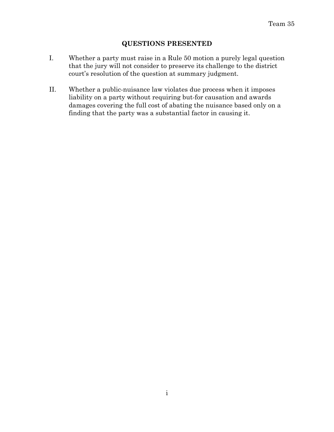# **QUESTIONS PRESENTED**

- I. Whether a party must raise in a Rule 50 motion a purely legal question that the jury will not consider to preserve its challenge to the district court's resolution of the question at summary judgment.
- II. Whether a public-nuisance law violates due process when it imposes liability on a party without requiring but-for causation and awards damages covering the full cost of abating the nuisance based only on a finding that the party was a substantial factor in causing it.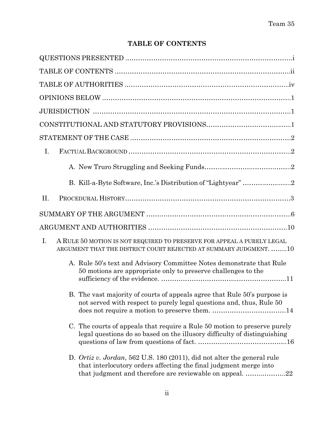# **TABLE OF CONTENTS**

| $I_{\cdot}$                                                                                                                                                                                              |
|----------------------------------------------------------------------------------------------------------------------------------------------------------------------------------------------------------|
|                                                                                                                                                                                                          |
|                                                                                                                                                                                                          |
| II.                                                                                                                                                                                                      |
|                                                                                                                                                                                                          |
|                                                                                                                                                                                                          |
| $I_{\cdot}$<br>A RULE 50 MOTION IS NOT REQUIRED TO PRESERVE FOR APPEAL A PURELY LEGAL<br>ARGUMENT THAT THE DISTRICT COURT REJECTED AT SUMMARY JUDGMENT. 10                                               |
| A. Rule 50's text and Advisory Committee Notes demonstrate that Rule<br>50 motions are appropriate only to preserve challenges to the                                                                    |
| B. The vast majority of courts of appeals agree that Rule 50's purpose is<br>not served with respect to purely legal questions and, thus, Rule 50                                                        |
| C. The courts of appeals that require a Rule 50 motion to preserve purely<br>legal questions do so based on the illusory difficulty of distinguishing                                                    |
| D. Ortiz v. Jordan, 562 U.S. 180 (2011), did not alter the general rule<br>that interlocutory orders affecting the final judgment merge into<br>that judgment and therefore are reviewable on appeal. 22 |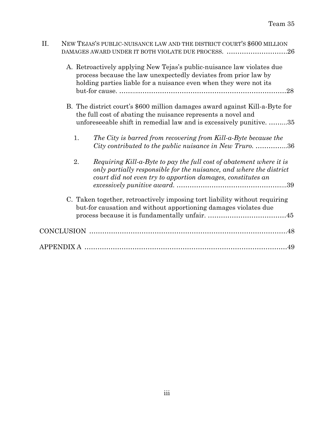| II. |                                                                                                                                                                                                                  | NEW TEJAS'S PUBLIC-NUISANCE LAW AND THE DISTRICT COURT'S \$600 MILLION<br>DAMAGES AWARD UNDER IT BOTH VIOLATE DUE PROCESS.<br>26                                                                                      |  |  |  |
|-----|------------------------------------------------------------------------------------------------------------------------------------------------------------------------------------------------------------------|-----------------------------------------------------------------------------------------------------------------------------------------------------------------------------------------------------------------------|--|--|--|
|     |                                                                                                                                                                                                                  | A. Retroactively applying New Tejas's public-nuisance law violates due<br>process because the law unexpectedly deviates from prior law by<br>holding parties liable for a nuisance even when they were not its<br>.28 |  |  |  |
|     | B. The district court's \$600 million damages award against Kill-a-Byte for<br>the full cost of abating the nuisance represents a novel and<br>unforeseeable shift in remedial law and is excessively punitive35 |                                                                                                                                                                                                                       |  |  |  |
|     | 1.                                                                                                                                                                                                               | The City is barred from recovering from Kill-a-Byte because the<br>City contributed to the public nuisance in New Truro36                                                                                             |  |  |  |
|     | 2.                                                                                                                                                                                                               | Requiring Kill-a-Byte to pay the full cost of abatement where it is<br>only partially responsible for the nuisance, and where the district<br>court did not even try to apportion damages, constitutes an             |  |  |  |
|     | C. Taken together, retroactively imposing tort liability without requiring<br>but-for causation and without apportioning damages violates due                                                                    |                                                                                                                                                                                                                       |  |  |  |
|     |                                                                                                                                                                                                                  |                                                                                                                                                                                                                       |  |  |  |
|     |                                                                                                                                                                                                                  | APPENDIX A ……………………………………………………………………………………49                                                                                                                                                                         |  |  |  |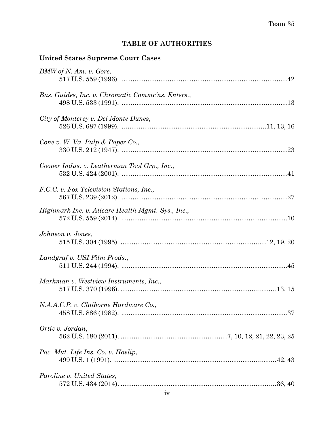# **TABLE OF AUTHORITIES**

# **United States Supreme Court Cases**

| BMW of N. Am. v. Gore,                            |  |
|---------------------------------------------------|--|
| Bus. Guides, Inc. v. Chromatic Comme'ns. Enters., |  |
| City of Monterey v. Del Monte Dunes,              |  |
| Cone v. W. Va. Pulp & Paper Co.,                  |  |
| Cooper Indus. v. Leatherman Tool Grp., Inc.,      |  |
| F.C.C. v. Fox Television Stations, Inc.,          |  |
| Highmark Inc. v. Allcare Health Mgmt. Sys., Inc., |  |
| Johnson v. Jones,                                 |  |
| Landgraf v. USI Film Prods.,                      |  |
| Markman v. Westview Instruments, Inc.,            |  |
| N.A.A.C.P. v. Claiborne Hardware Co.,             |  |
|                                                   |  |
| Ortiz v. Jordan,                                  |  |
| Pac. Mut. Life Ins. Co. v. Haslip,                |  |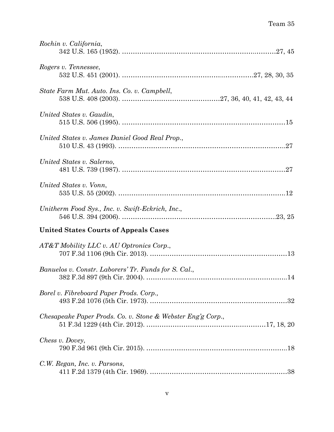| Rochin v. California,                                       |
|-------------------------------------------------------------|
| Rogers v. Tennessee,                                        |
| State Farm Mut. Auto. Ins. Co. v. Campbell,                 |
| United States v. Gaudin,                                    |
| United States v. James Daniel Good Real Prop.,              |
| United States v. Salerno,                                   |
| United States v. Vonn,                                      |
| Unitherm Food Sys., Inc. v. Swift-Eckrich, Inc.,            |
| <b>United States Courts of Appeals Cases</b>                |
| AT&T Mobility LLC v. AU Optronics Corp.,                    |
| Banuelos v. Constr. Laborers' Tr. Funds for S. Cal.,        |
| Borel v. Fibreboard Paper Prods. Corp.,                     |
| Chesapeake Paper Prods. Co. v. Stone & Webster Eng'g Corp., |
| Chess v. Dovey,                                             |
| C.W. Regan, Inc. v. Parsons,                                |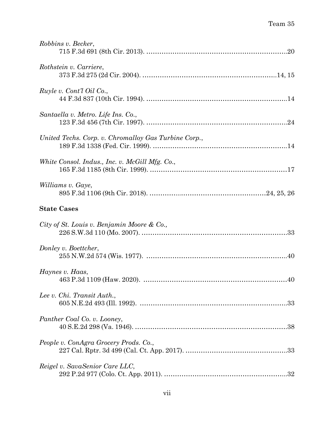| Robbins v. Becker,                                   |
|------------------------------------------------------|
| Rothstein v. Carriere,                               |
| Ruyle v. Cont'l Oil Co.,                             |
| Santaella v. Metro. Life Ins. Co.,                   |
| United Techs. Corp. v. Chromalloy Gas Turbine Corp., |
| White Consol. Indus., Inc. v. McGill Mfg. Co.,       |
| Williams v. Gaye,                                    |
| <b>State Cases</b>                                   |
| City of St. Louis v. Benjamin Moore & Co.,           |
| Donley v. Boettcher,                                 |
| Haynes v. Haas,                                      |
| Lee v. Chi. Transit Auth.,                           |
| Panther Coal Co. v. Looney,                          |
| People v. ConAgra Grocery Prods. Co.,                |
| Reigel v. SavaSenior Care LLC,                       |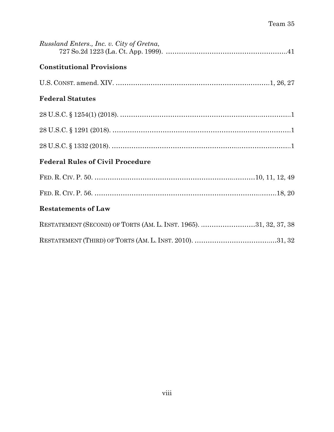| Russland Enters., Inc. v. City of Gretna,                         |  |
|-------------------------------------------------------------------|--|
| <b>Constitutional Provisions</b>                                  |  |
|                                                                   |  |
| <b>Federal Statutes</b>                                           |  |
|                                                                   |  |
|                                                                   |  |
|                                                                   |  |
| <b>Federal Rules of Civil Procedure</b>                           |  |
|                                                                   |  |
|                                                                   |  |
| <b>Restatements of Law</b>                                        |  |
| RESTATEMENT (SECOND) OF TORTS (AM. L. INST. 1965). 31, 32, 37, 38 |  |
|                                                                   |  |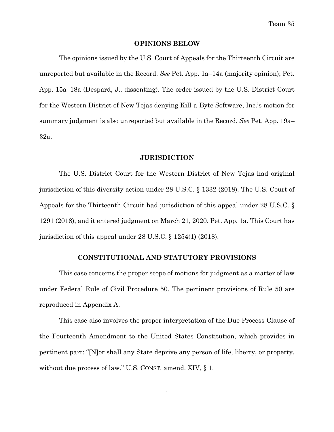#### **OPINIONS BELOW**

The opinions issued by the U.S. Court of Appeals for the Thirteenth Circuit are unreported but available in the Record. *See* Pet. App. 1a–14a (majority opinion); Pet. App. 15a–18a (Despard, J., dissenting). The order issued by the U.S. District Court for the Western District of New Tejas denying Kill-a-Byte Software, Inc.'s motion for summary judgment is also unreported but available in the Record. *See* Pet. App. 19a– 32a.

#### **JURISDICTION**

The U.S. District Court for the Western District of New Tejas had original jurisdiction of this diversity action under 28 U.S.C. § 1332 (2018). The U.S. Court of Appeals for the Thirteenth Circuit had jurisdiction of this appeal under 28 U.S.C. § 1291 (2018), and it entered judgment on March 21, 2020. Pet. App. 1a. This Court has jurisdiction of this appeal under 28 U.S.C. § 1254(1) (2018).

#### **CONSTITUTIONAL AND STATUTORY PROVISIONS**

This case concerns the proper scope of motions for judgment as a matter of law under Federal Rule of Civil Procedure 50. The pertinent provisions of Rule 50 are reproduced in Appendix A.

This case also involves the proper interpretation of the Due Process Clause of the Fourteenth Amendment to the United States Constitution, which provides in pertinent part: "[N]or shall any State deprive any person of life, liberty, or property, without due process of law." U.S. CONST. amend. XIV, § 1.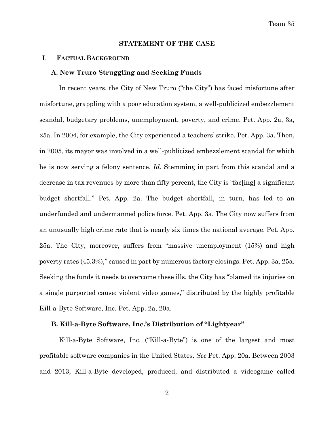#### **STATEMENT OF THE CASE**

#### I. **FACTUAL BACKGROUND**

#### **A. New Truro Struggling and Seeking Funds**

In recent years, the City of New Truro ("the City") has faced misfortune after misfortune, grappling with a poor education system, a well-publicized embezzlement scandal, budgetary problems, unemployment, poverty, and crime. Pet. App. 2a, 3a, 25a. In 2004, for example, the City experienced a teachers' strike. Pet. App. 3a. Then, in 2005, its mayor was involved in a well-publicized embezzlement scandal for which he is now serving a felony sentence. *Id.* Stemming in part from this scandal and a decrease in tax revenues by more than fifty percent, the City is "fac[ing] a significant budget shortfall." Pet. App. 2a. The budget shortfall, in turn, has led to an underfunded and undermanned police force. Pet. App. 3a. The City now suffers from an unusually high crime rate that is nearly six times the national average. Pet. App. 25a. The City, moreover, suffers from "massive unemployment (15%) and high poverty rates (45.3%)," caused in part by numerous factory closings. Pet. App. 3a, 25a. Seeking the funds it needs to overcome these ills, the City has "blamed its injuries on a single purported cause: violent video games," distributed by the highly profitable Kill-a-Byte Software, Inc. Pet. App. 2a, 20a.

#### **B. Kill-a-Byte Software, Inc.'s Distribution of "Lightyear"**

Kill-a-Byte Software, Inc. ("Kill-a-Byte") is one of the largest and most profitable software companies in the United States. *See* Pet. App. 20a. Between 2003 and 2013, Kill-a-Byte developed, produced, and distributed a videogame called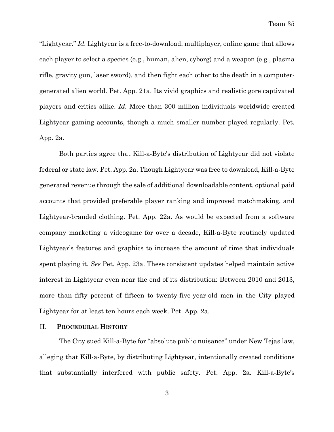"Lightyear." *Id.* Lightyear is a free-to-download, multiplayer, online game that allows each player to select a species (e.g., human, alien, cyborg) and a weapon (e.g., plasma rifle, gravity gun, laser sword), and then fight each other to the death in a computergenerated alien world. Pet. App. 21a. Its vivid graphics and realistic gore captivated players and critics alike. *Id.* More than 300 million individuals worldwide created Lightyear gaming accounts, though a much smaller number played regularly. Pet. App. 2a.

Both parties agree that Kill-a-Byte's distribution of Lightyear did not violate federal or state law. Pet. App. 2a. Though Lightyear was free to download, Kill-a-Byte generated revenue through the sale of additional downloadable content, optional paid accounts that provided preferable player ranking and improved matchmaking, and Lightyear-branded clothing. Pet. App. 22a. As would be expected from a software company marketing a videogame for over a decade, Kill-a-Byte routinely updated Lightyear's features and graphics to increase the amount of time that individuals spent playing it. *See* Pet. App. 23a. These consistent updates helped maintain active interest in Lightyear even near the end of its distribution: Between 2010 and 2013, more than fifty percent of fifteen to twenty-five-year-old men in the City played Lightyear for at least ten hours each week. Pet. App. 2a.

#### II. **PROCEDURAL HISTORY**

The City sued Kill-a-Byte for "absolute public nuisance" under New Tejas law, alleging that Kill-a-Byte, by distributing Lightyear, intentionally created conditions that substantially interfered with public safety. Pet. App. 2a. Kill-a-Byte's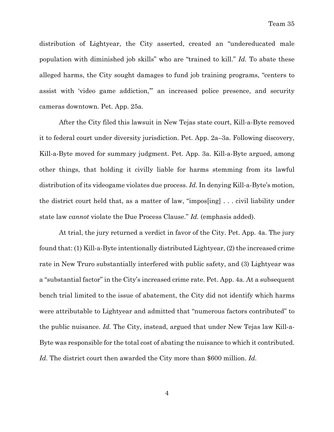distribution of Lightyear, the City asserted, created an "undereducated male population with diminished job skills" who are "trained to kill." *Id.* To abate these alleged harms, the City sought damages to fund job training programs, "centers to assist with 'video game addiction,'" an increased police presence, and security cameras downtown. Pet. App. 25a.

After the City filed this lawsuit in New Tejas state court, Kill-a-Byte removed it to federal court under diversity jurisdiction. Pet. App. 2a–3a. Following discovery, Kill-a-Byte moved for summary judgment. Pet. App. 3a. Kill-a-Byte argued, among other things, that holding it civilly liable for harms stemming from its lawful distribution of its videogame violates due process. *Id.* In denying Kill-a-Byte's motion, the district court held that, as a matter of law, "impos[ing] . . . civil liability under state law *cannot* violate the Due Process Clause." *Id.* (emphasis added).

At trial, the jury returned a verdict in favor of the City. Pet. App. 4a. The jury found that: (1) Kill-a-Byte intentionally distributed Lightyear, (2) the increased crime rate in New Truro substantially interfered with public safety, and (3) Lightyear was a "substantial factor" in the City's increased crime rate. Pet. App. 4a. At a subsequent bench trial limited to the issue of abatement, the City did not identify which harms were attributable to Lightyear and admitted that "numerous factors contributed" to the public nuisance. *Id.* The City, instead, argued that under New Tejas law Kill-a-Byte was responsible for the total cost of abating the nuisance to which it contributed. *Id.* The district court then awarded the City more than \$600 million. *Id.*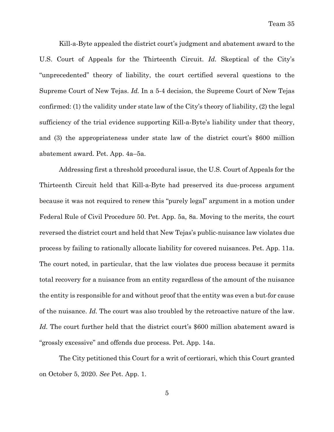Kill-a-Byte appealed the district court's judgment and abatement award to the U.S. Court of Appeals for the Thirteenth Circuit. *Id.* Skeptical of the City's "unprecedented" theory of liability, the court certified several questions to the Supreme Court of New Tejas. *Id.* In a 5-4 decision, the Supreme Court of New Tejas confirmed: (1) the validity under state law of the City's theory of liability, (2) the legal sufficiency of the trial evidence supporting Kill-a-Byte's liability under that theory, and (3) the appropriateness under state law of the district court's \$600 million abatement award. Pet. App. 4a–5a.

Addressing first a threshold procedural issue, the U.S. Court of Appeals for the Thirteenth Circuit held that Kill-a-Byte had preserved its due-process argument because it was not required to renew this "purely legal" argument in a motion under Federal Rule of Civil Procedure 50. Pet. App. 5a, 8a. Moving to the merits, the court reversed the district court and held that New Tejas's public-nuisance law violates due process by failing to rationally allocate liability for covered nuisances. Pet. App. 11a. The court noted, in particular, that the law violates due process because it permits total recovery for a nuisance from an entity regardless of the amount of the nuisance the entity is responsible for and without proof that the entity was even a but-for cause of the nuisance. *Id.* The court was also troubled by the retroactive nature of the law. *Id.* The court further held that the district court's \$600 million abatement award is "grossly excessive" and offends due process. Pet. App. 14a.

The City petitioned this Court for a writ of certiorari, which this Court granted on October 5, 2020. *See* Pet. App. 1.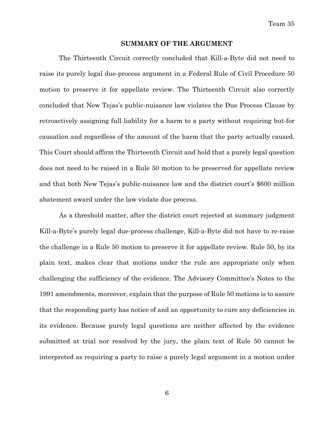Team 35

#### **SUMMARY OF THE ARGUMENT**

The Thirteenth Circuit correctly concluded that Kill-a-Byte did not need to raise its purely legal due-process argument in a Federal Rule of Civil Procedure 50 motion to preserve it for appellate review. The Thirteenth Circuit also correctly concluded that New Tejas's public-nuisance law violates the Due Process Clause by retroactively assigning full liability for a harm to a party without requiring but-for causation and regardless of the amount of the harm that the party actually caused. This Court should affirm the Thirteenth Circuit and hold that a purely legal question does not need to be raised in a Rule 50 motion to be preserved for appellate review and that both New Tejas's public-nuisance law and the district court's \$600 million abatement award under the law violate due process.

As a threshold matter, after the district court rejected at summary judgment Kill-a-Byte's purely legal due-process challenge, Kill-a-Byte did not have to re-raise the challenge in a Rule 50 motion to preserve it for appellate review. Rule 50, by its plain text, makes clear that motions under the rule are appropriate only when challenging the sufficiency of the evidence. The Advisory Committee's Notes to the 1991 amendments, moreover, explain that the purpose of Rule 50 motions is to assure that the responding party has notice of and an opportunity to cure any deficiencies in its evidence. Because purely legal questions are neither affected by the evidence submitted at trial nor resolved by the jury, the plain text of Rule 50 cannot be interpreted as requiring a party to raise a purely legal argument in a motion under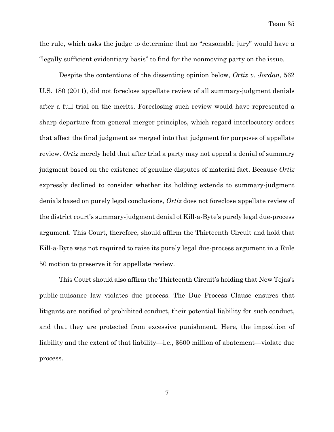the rule, which asks the judge to determine that no "reasonable jury" would have a "legally sufficient evidentiary basis" to find for the nonmoving party on the issue.

Despite the contentions of the dissenting opinion below, *Ortiz v. Jordan*, 562 U.S. 180 (2011), did not foreclose appellate review of all summary-judgment denials after a full trial on the merits. Foreclosing such review would have represented a sharp departure from general merger principles, which regard interlocutory orders that affect the final judgment as merged into that judgment for purposes of appellate review. *Ortiz* merely held that after trial a party may not appeal a denial of summary judgment based on the existence of genuine disputes of material fact. Because *Ortiz* expressly declined to consider whether its holding extends to summary-judgment denials based on purely legal conclusions, *Ortiz* does not foreclose appellate review of the district court's summary-judgment denial of Kill-a-Byte's purely legal due-process argument. This Court, therefore, should affirm the Thirteenth Circuit and hold that Kill-a-Byte was not required to raise its purely legal due-process argument in a Rule 50 motion to preserve it for appellate review.

This Court should also affirm the Thirteenth Circuit's holding that New Tejas's public-nuisance law violates due process. The Due Process Clause ensures that litigants are notified of prohibited conduct, their potential liability for such conduct, and that they are protected from excessive punishment. Here, the imposition of liability and the extent of that liability—i.e., \$600 million of abatement—violate due process.

7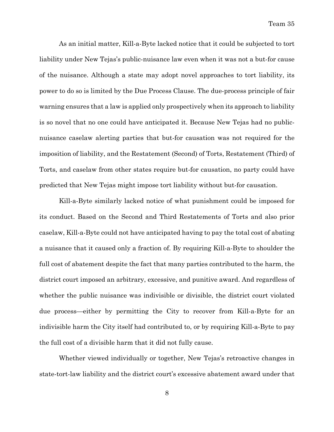As an initial matter, Kill-a-Byte lacked notice that it could be subjected to tort liability under New Tejas's public-nuisance law even when it was not a but-for cause of the nuisance. Although a state may adopt novel approaches to tort liability, its power to do so is limited by the Due Process Clause. The due-process principle of fair warning ensures that a law is applied only prospectively when its approach to liability is so novel that no one could have anticipated it. Because New Tejas had no publicnuisance caselaw alerting parties that but-for causation was not required for the imposition of liability, and the Restatement (Second) of Torts, Restatement (Third) of Torts, and caselaw from other states require but-for causation, no party could have predicted that New Tejas might impose tort liability without but-for causation.

Kill-a-Byte similarly lacked notice of what punishment could be imposed for its conduct. Based on the Second and Third Restatements of Torts and also prior caselaw, Kill-a-Byte could not have anticipated having to pay the total cost of abating a nuisance that it caused only a fraction of. By requiring Kill-a-Byte to shoulder the full cost of abatement despite the fact that many parties contributed to the harm, the district court imposed an arbitrary, excessive, and punitive award. And regardless of whether the public nuisance was indivisible or divisible, the district court violated due process—either by permitting the City to recover from Kill-a-Byte for an indivisible harm the City itself had contributed to, or by requiring Kill-a-Byte to pay the full cost of a divisible harm that it did not fully cause.

Whether viewed individually or together, New Tejas's retroactive changes in state-tort-law liability and the district court's excessive abatement award under that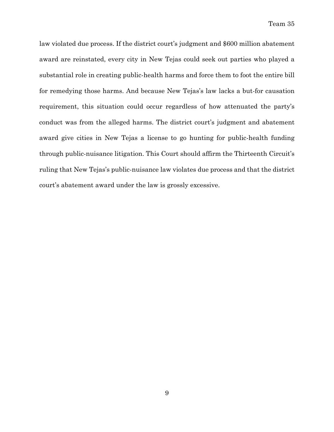law violated due process. If the district court's judgment and \$600 million abatement award are reinstated, every city in New Tejas could seek out parties who played a substantial role in creating public-health harms and force them to foot the entire bill for remedying those harms. And because New Tejas's law lacks a but-for causation requirement, this situation could occur regardless of how attenuated the party's conduct was from the alleged harms. The district court's judgment and abatement award give cities in New Tejas a license to go hunting for public-health funding through public-nuisance litigation. This Court should affirm the Thirteenth Circuit's ruling that New Tejas's public-nuisance law violates due process and that the district court's abatement award under the law is grossly excessive.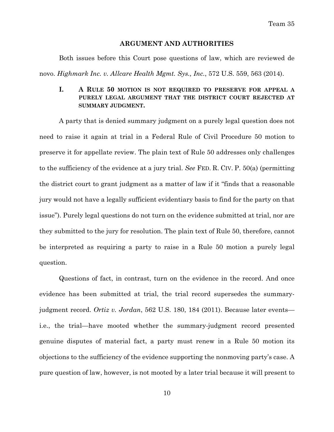Team 35

#### **ARGUMENT AND AUTHORITIES**

Both issues before this Court pose questions of law, which are reviewed de novo. *Highmark Inc. v. Allcare Health Mgmt. Sys., Inc.*, 572 U.S. 559, 563 (2014).

## **I. A RULE 50 MOTION IS NOT REQUIRED TO PRESERVE FOR APPEAL A PURELY LEGAL ARGUMENT THAT THE DISTRICT COURT REJECTED AT SUMMARY JUDGMENT.**

A party that is denied summary judgment on a purely legal question does not need to raise it again at trial in a Federal Rule of Civil Procedure 50 motion to preserve it for appellate review. The plain text of Rule 50 addresses only challenges to the sufficiency of the evidence at a jury trial. *See* FED. R. CIV. P. 50(a) (permitting the district court to grant judgment as a matter of law if it "finds that a reasonable jury would not have a legally sufficient evidentiary basis to find for the party on that issue"). Purely legal questions do not turn on the evidence submitted at trial, nor are they submitted to the jury for resolution. The plain text of Rule 50, therefore, cannot be interpreted as requiring a party to raise in a Rule 50 motion a purely legal question.

Questions of fact, in contrast, turn on the evidence in the record. And once evidence has been submitted at trial, the trial record supersedes the summaryjudgment record. *Ortiz v. Jordan*, 562 U.S. 180, 184 (2011). Because later events i.e., the trial—have mooted whether the summary-judgment record presented genuine disputes of material fact, a party must renew in a Rule 50 motion its objections to the sufficiency of the evidence supporting the nonmoving party's case. A pure question of law, however, is not mooted by a later trial because it will present to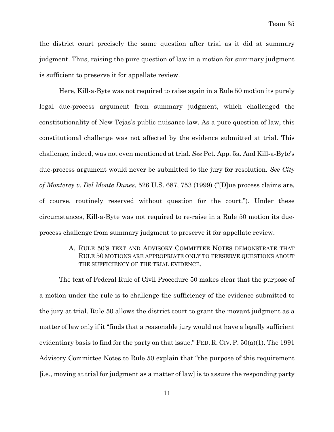the district court precisely the same question after trial as it did at summary judgment. Thus, raising the pure question of law in a motion for summary judgment is sufficient to preserve it for appellate review.

Here, Kill-a-Byte was not required to raise again in a Rule 50 motion its purely legal due-process argument from summary judgment, which challenged the constitutionality of New Tejas's public-nuisance law. As a pure question of law, this constitutional challenge was not affected by the evidence submitted at trial. This challenge, indeed, was not even mentioned at trial. *See* Pet. App. 5a. And Kill-a-Byte's due-process argument would never be submitted to the jury for resolution. *See City of Monterey v. Del Monte Dunes*, 526 U.S. 687, 753 (1999) ("[D]ue process claims are, of course, routinely reserved without question for the court."). Under these circumstances, Kill-a-Byte was not required to re-raise in a Rule 50 motion its dueprocess challenge from summary judgment to preserve it for appellate review.

# A. RULE 50'S TEXT AND ADVISORY COMMITTEE NOTES DEMONSTRATE THAT RULE 50 MOTIONS ARE APPROPRIATE ONLY TO PRESERVE QUESTIONS ABOUT THE SUFFICIENCY OF THE TRIAL EVIDENCE.

The text of Federal Rule of Civil Procedure 50 makes clear that the purpose of a motion under the rule is to challenge the sufficiency of the evidence submitted to the jury at trial. Rule 50 allows the district court to grant the movant judgment as a matter of law only if it "finds that a reasonable jury would not have a legally sufficient evidentiary basis to find for the party on that issue." FED. R. CIV. P.  $50(a)(1)$ . The 1991 Advisory Committee Notes to Rule 50 explain that "the purpose of this requirement [i.e., moving at trial for judgment as a matter of law] is to assure the responding party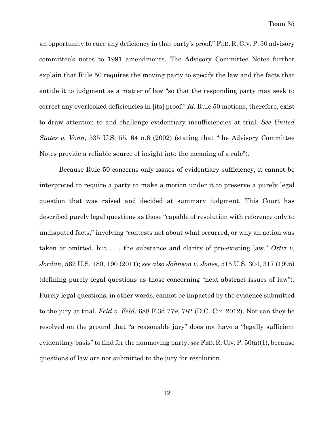an opportunity to cure any deficiency in that party's proof." FED. R. CIV. P. 50 advisory committee's notes to 1991 amendments. The Advisory Committee Notes further explain that Rule 50 requires the moving party to specify the law and the facts that entitle it to judgment as a matter of law "so that the responding party may seek to correct any overlooked deficiencies in [its] proof." *Id.* Rule 50 motions, therefore, exist to draw attention to and challenge evidentiary insufficiencies at trial. *See United States v. Vonn*, 535 U.S. 55, 64 n.6 (2002) (stating that "the Advisory Committee Notes provide a reliable source of insight into the meaning of a rule").

Because Rule 50 concerns only issues of evidentiary sufficiency, it cannot be interpreted to require a party to make a motion under it to preserve a purely legal question that was raised and decided at summary judgment. This Court has described purely legal questions as those "capable of resolution with reference only to undisputed facts," involving "contests not about what occurred, or why an action was taken or omitted, but . . . the substance and clarity of pre-existing law." *Ortiz v. Jordan*, 562 U.S. 180, 190 (2011); *see also Johnson v. Jones*, 515 U.S. 304, 317 (1995) (defining purely legal questions as those concerning "neat abstract issues of law"). Purely legal questions, in other words, cannot be impacted by the evidence submitted to the jury at trial. *Feld v. Feld*, 688 F.3d 779, 782 (D.C. Cir. 2012). Nor can they be resolved on the ground that "a reasonable jury" does not have a "legally sufficient evidentiary basis" to find for the nonmoving party, *see* FED. R. CIV. P. 50(a)(1), because questions of law are not submitted to the jury for resolution.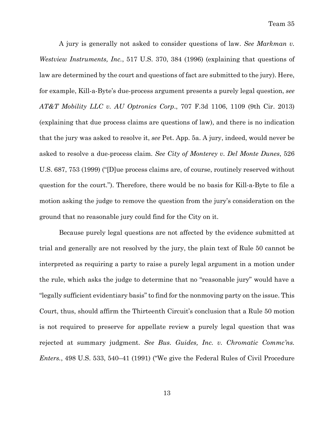A jury is generally not asked to consider questions of law. *See Markman v. Westview Instruments, Inc.*, 517 U.S. 370, 384 (1996) (explaining that questions of law are determined by the court and questions of fact are submitted to the jury). Here, for example, Kill-a-Byte's due-process argument presents a purely legal question, *see AT&T Mobility LLC v. AU Optronics Corp*., 707 F.3d 1106, 1109 (9th Cir. 2013) (explaining that due process claims are questions of law), and there is no indication that the jury was asked to resolve it, *see* Pet. App. 5a. A jury, indeed, would never be asked to resolve a due-process claim. *See City of Monterey v. Del Monte Dunes*, 526 U.S. 687, 753 (1999) ("[D]ue process claims are, of course, routinely reserved without question for the court."). Therefore, there would be no basis for Kill-a-Byte to file a motion asking the judge to remove the question from the jury's consideration on the ground that no reasonable jury could find for the City on it.

Because purely legal questions are not affected by the evidence submitted at trial and generally are not resolved by the jury, the plain text of Rule 50 cannot be interpreted as requiring a party to raise a purely legal argument in a motion under the rule, which asks the judge to determine that no "reasonable jury" would have a "legally sufficient evidentiary basis" to find for the nonmoving party on the issue. This Court, thus, should affirm the Thirteenth Circuit's conclusion that a Rule 50 motion is not required to preserve for appellate review a purely legal question that was rejected at summary judgment. *See Bus. Guides, Inc. v. Chromatic Commc'ns. Enters.*, 498 U.S. 533, 540–41 (1991) ("We give the Federal Rules of Civil Procedure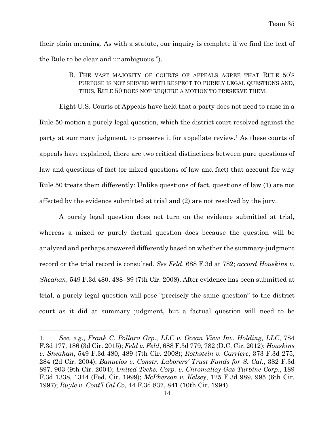their plain meaning. As with a statute, our inquiry is complete if we find the text of the Rule to be clear and unambiguous.").

> B. THE VAST MAJORITY OF COURTS OF APPEALS AGREE THAT RULE 50'S PURPOSE IS NOT SERVED WITH RESPECT TO PURELY LEGAL QUESTIONS AND, THUS, RULE 50 DOES NOT REQUIRE A MOTION TO PRESERVE THEM.

Eight U.S. Courts of Appeals have held that a party does not need to raise in a Rule 50 motion a purely legal question, which the district court resolved against the party at summary judgment, to preserve it for appellate review.1 As these courts of appeals have explained, there are two critical distinctions between pure questions of law and questions of fact (or mixed questions of law and fact) that account for why Rule 50 treats them differently: Unlike questions of fact, questions of law (1) are not affected by the evidence submitted at trial and (2) are not resolved by the jury.

A purely legal question does not turn on the evidence submitted at trial, whereas a mixed or purely factual question does because the question will be analyzed and perhaps answered differently based on whether the summary-judgment record or the trial record is consulted. *See Feld*, 688 F.3d at 782; *accord Houskins v. Sheahan*, 549 F.3d 480, 488–89 (7th Cir. 2008). After evidence has been submitted at trial, a purely legal question will pose "precisely the same question" to the district court as it did at summary judgment, but a factual question will need to be

<sup>1.</sup> *See, e.g*., *Frank C. Pollara Grp., LLC v. Ocean View Inv. Holding, LLC*, 784 F.3d 177, 186 (3d Cir. 2015); *Feld v. Feld*, 688 F.3d 779, 782 (D.C. Cir. 2012); *Houskins v. Sheahan*, 549 F.3d 480, 489 (7th Cir. 2008); *Rothstein v. Carriere*, 373 F.3d 275, 284 (2d Cir. 2004); *Banuelos v. Constr. Laborers' Trust Funds for S. Cal*., 382 F.3d 897, 903 (9th Cir. 2004); *United Techs. Corp. v. Chromalloy Gas Turbine Corp*., 189 F.3d 1338, 1344 (Fed. Cir. 1999); *McPherson v. Kelsey*, 125 F.3d 989, 995 (6th Cir. 1997); *Ruyle v. Cont'l Oil Co*, 44 F.3d 837, 841 (10th Cir. 1994).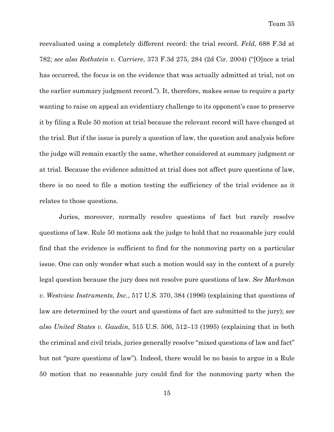reevaluated using a completely different record: the trial record. *Feld*, 688 F.3d at 782; *see also Rothstein v. Carriere*, 373 F.3d 275, 284 (2d Cir. 2004) ("[O]nce a trial has occurred, the focus is on the evidence that was actually admitted at trial, not on the earlier summary judgment record."). It, therefore, makes sense to require a party wanting to raise on appeal an evidentiary challenge to its opponent's case to preserve it by filing a Rule 50 motion at trial because the relevant record will have changed at the trial. But if the issue is purely a question of law, the question and analysis before the judge will remain exactly the same, whether considered at summary judgment or at trial. Because the evidence admitted at trial does not affect pure questions of law, there is no need to file a motion testing the sufficiency of the trial evidence as it relates to those questions.

Juries, moreover, normally resolve questions of fact but rarely resolve questions of law. Rule 50 motions ask the judge to hold that no reasonable jury could find that the evidence is sufficient to find for the nonmoving party on a particular issue. One can only wonder what such a motion would say in the context of a purely legal question because the jury does not resolve pure questions of law. *See Markman v. Westview Instruments, Inc.*, 517 U.S. 370, 384 (1996) (explaining that questions of law are determined by the court and questions of fact are submitted to the jury); *see also United States v. Gaudin*, 515 U.S. 506, 512–13 (1995) (explaining that in both the criminal and civil trials, juries generally resolve "mixed questions of law and fact" but not "pure questions of law"). Indeed, there would be no basis to argue in a Rule 50 motion that no reasonable jury could find for the nonmoving party when the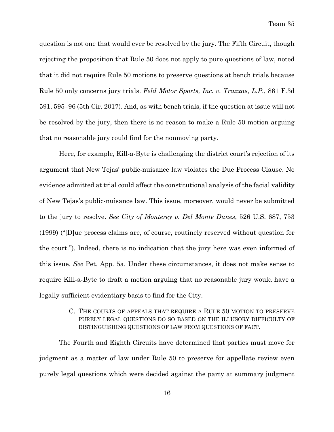question is not one that would ever be resolved by the jury. The Fifth Circuit, though rejecting the proposition that Rule 50 does not apply to pure questions of law, noted that it did not require Rule 50 motions to preserve questions at bench trials because Rule 50 only concerns jury trials. *Feld Motor Sports, Inc. v. Traxxas, L.P.*, 861 F.3d 591, 595–96 (5th Cir. 2017). And, as with bench trials, if the question at issue will not be resolved by the jury, then there is no reason to make a Rule 50 motion arguing that no reasonable jury could find for the nonmoving party.

Here, for example, Kill-a-Byte is challenging the district court's rejection of its argument that New Tejas' public-nuisance law violates the Due Process Clause. No evidence admitted at trial could affect the constitutional analysis of the facial validity of New Tejas's public-nuisance law. This issue, moreover, would never be submitted to the jury to resolve. *See City of Monterey v. Del Monte Dunes*, 526 U.S. 687, 753 (1999) ("[D]ue process claims are, of course, routinely reserved without question for the court."). Indeed, there is no indication that the jury here was even informed of this issue. *See* Pet. App. 5a. Under these circumstances, it does not make sense to require Kill-a-Byte to draft a motion arguing that no reasonable jury would have a legally sufficient evidentiary basis to find for the City.

## C. THE COURTS OF APPEALS THAT REQUIRE A RULE 50 MOTION TO PRESERVE PURELY LEGAL QUESTIONS DO SO BASED ON THE ILLUSORY DIFFICULTY OF DISTINGUISHING QUESTIONS OF LAW FROM QUESTIONS OF FACT.

The Fourth and Eighth Circuits have determined that parties must move for judgment as a matter of law under Rule 50 to preserve for appellate review even purely legal questions which were decided against the party at summary judgment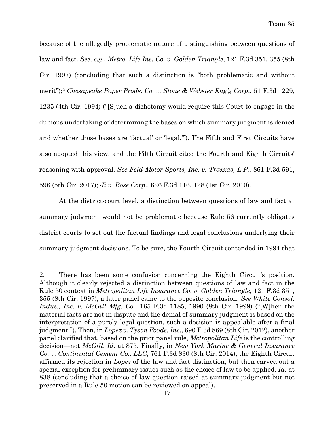because of the allegedly problematic nature of distinguishing between questions of law and fact. *See, e.g.*, *Metro. Life Ins. Co. v. Golden Triangle*, 121 F.3d 351, 355 (8th Cir. 1997) (concluding that such a distinction is "both problematic and without merit");2 *Chesapeake Paper Prods. Co. v. Stone & Webster Eng'g Corp*., 51 F.3d 1229, 1235 (4th Cir. 1994) ("[S]uch a dichotomy would require this Court to engage in the dubious undertaking of determining the bases on which summary judgment is denied and whether those bases are 'factual' or 'legal.'"). The Fifth and First Circuits have also adopted this view, and the Fifth Circuit cited the Fourth and Eighth Circuits' reasoning with approval. *See Feld Motor Sports, Inc. v. Traxxas, L.P.*, 861 F.3d 591, 596 (5th Cir. 2017); *Ji v. Bose Corp*., 626 F.3d 116, 128 (1st Cir. 2010).

At the district-court level, a distinction between questions of law and fact at summary judgment would not be problematic because Rule 56 currently obligates district courts to set out the factual findings and legal conclusions underlying their summary-judgment decisions. To be sure, the Fourth Circuit contended in 1994 that

<sup>2.</sup> There has been some confusion concerning the Eighth Circuit's position. Although it clearly rejected a distinction between questions of law and fact in the Rule 50 context in *Metropolitan Life Insurance Co. v. Golden Triangle,* 121 F.3d 351, 355 (8th Cir. 1997), a later panel came to the opposite conclusion. *See White Consol. Indus., Inc. v. McGill Mfg. Co*., 165 F.3d 1185, 1990 (8th Cir. 1999) ("[W]hen the material facts are not in dispute and the denial of summary judgment is based on the interpretation of a purely legal question, such a decision is appealable after a final judgment."). Then, in *Lopez v. Tyson Foods, Inc*., 690 F.3d 869 (8th Cir. 2012), another panel clarified that, based on the prior panel rule, *Metropolitan Life* is the controlling decision—not *McGill*. *Id.* at 875. Finally, in *New York Marine & General Insurance Co. v. Continental Cement Co., LLC*, 761 F.3d 830 (8th Cir. 2014), the Eighth Circuit affirmed its rejection in *Lopez* of the law and fact distinction, but then carved out a special exception for preliminary issues such as the choice of law to be applied. *Id.* at 838 (concluding that a choice of law question raised at summary judgment but not preserved in a Rule 50 motion can be reviewed on appeal).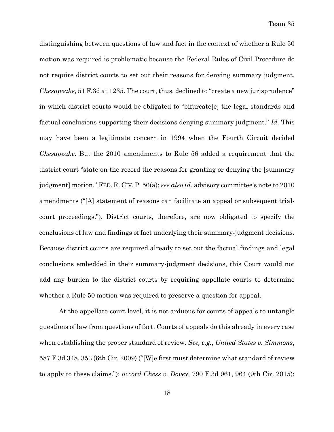distinguishing between questions of law and fact in the context of whether a Rule 50 motion was required is problematic because the Federal Rules of Civil Procedure do not require district courts to set out their reasons for denying summary judgment. *Chesapeake*, 51 F.3d at 1235. The court, thus, declined to "create a new jurisprudence" in which district courts would be obligated to "bifurcate[e] the legal standards and factual conclusions supporting their decisions denying summary judgment." *Id.* This may have been a legitimate concern in 1994 when the Fourth Circuit decided *Chesapeake*. But the 2010 amendments to Rule 56 added a requirement that the district court "state on the record the reasons for granting or denying the [summary judgment] motion." FED. R. CIV. P. 56(a); *see also id.* advisory committee's note to 2010 amendments ("[A] statement of reasons can facilitate an appeal or subsequent trialcourt proceedings."). District courts, therefore, are now obligated to specify the conclusions of law and findings of fact underlying their summary-judgment decisions. Because district courts are required already to set out the factual findings and legal conclusions embedded in their summary-judgment decisions, this Court would not add any burden to the district courts by requiring appellate courts to determine whether a Rule 50 motion was required to preserve a question for appeal.

At the appellate-court level, it is not arduous for courts of appeals to untangle questions of law from questions of fact. Courts of appeals do this already in every case when establishing the proper standard of review. *See, e.g.*, *United States v. Simmons*, 587 F.3d 348, 353 (6th Cir. 2009) ("[W]e first must determine what standard of review to apply to these claims."); *accord Chess v. Dovey*, 790 F.3d 961, 964 (9th Cir. 2015);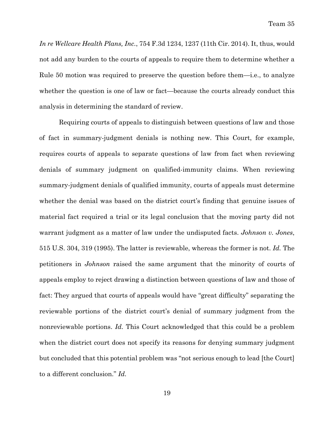*In re Wellcare Health Plans, Inc.*, 754 F.3d 1234, 1237 (11th Cir. 2014). It, thus, would not add any burden to the courts of appeals to require them to determine whether a Rule 50 motion was required to preserve the question before them—i.e., to analyze whether the question is one of law or fact—because the courts already conduct this analysis in determining the standard of review.

Requiring courts of appeals to distinguish between questions of law and those of fact in summary-judgment denials is nothing new. This Court, for example, requires courts of appeals to separate questions of law from fact when reviewing denials of summary judgment on qualified-immunity claims. When reviewing summary-judgment denials of qualified immunity, courts of appeals must determine whether the denial was based on the district court's finding that genuine issues of material fact required a trial or its legal conclusion that the moving party did not warrant judgment as a matter of law under the undisputed facts. *Johnson v. Jones*, 515 U.S. 304, 319 (1995). The latter is reviewable, whereas the former is not. *Id.* The petitioners in *Johnson* raised the same argument that the minority of courts of appeals employ to reject drawing a distinction between questions of law and those of fact: They argued that courts of appeals would have "great difficulty" separating the reviewable portions of the district court's denial of summary judgment from the nonreviewable portions. *Id.* This Court acknowledged that this could be a problem when the district court does not specify its reasons for denying summary judgment but concluded that this potential problem was "not serious enough to lead [the Court] to a different conclusion." *Id.*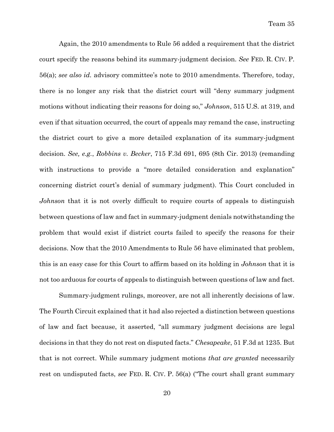Again, the 2010 amendments to Rule 56 added a requirement that the district court specify the reasons behind its summary-judgment decision. *See* FED. R. CIV. P. 56(a); *see also id.* advisory committee's note to 2010 amendments. Therefore, today, there is no longer any risk that the district court will "deny summary judgment motions without indicating their reasons for doing so," *Johnson*, 515 U.S. at 319, and even if that situation occurred, the court of appeals may remand the case, instructing the district court to give a more detailed explanation of its summary-judgment decision. *See, e.g.*, *Robbins v. Becker*, 715 F.3d 691, 695 (8th Cir. 2013) (remanding with instructions to provide a "more detailed consideration and explanation" concerning district court's denial of summary judgment). This Court concluded in *Johnson* that it is not overly difficult to require courts of appeals to distinguish between questions of law and fact in summary-judgment denials notwithstanding the problem that would exist if district courts failed to specify the reasons for their decisions. Now that the 2010 Amendments to Rule 56 have eliminated that problem, this is an easy case for this Court to affirm based on its holding in *Johnson* that it is not too arduous for courts of appeals to distinguish between questions of law and fact.

Summary-judgment rulings, moreover, are not all inherently decisions of law. The Fourth Circuit explained that it had also rejected a distinction between questions of law and fact because, it asserted, "all summary judgment decisions are legal decisions in that they do not rest on disputed facts." *Chesapeake*, 51 F.3d at 1235. But that is not correct. While summary judgment motions *that are granted* necessarily rest on undisputed facts, *see* FED. R. CIV. P. 56(a) ("The court shall grant summary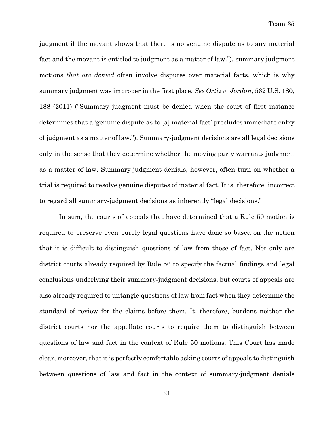judgment if the movant shows that there is no genuine dispute as to any material fact and the movant is entitled to judgment as a matter of law."), summary judgment motions *that are denied* often involve disputes over material facts, which is why summary judgment was improper in the first place. *See Ortiz v. Jordan*, 562 U.S. 180, 188 (2011) ("Summary judgment must be denied when the court of first instance determines that a 'genuine dispute as to [a] material fact' precludes immediate entry of judgment as a matter of law."). Summary-judgment decisions are all legal decisions only in the sense that they determine whether the moving party warrants judgment as a matter of law. Summary-judgment denials, however, often turn on whether a trial is required to resolve genuine disputes of material fact. It is, therefore, incorrect to regard all summary-judgment decisions as inherently "legal decisions."

In sum, the courts of appeals that have determined that a Rule 50 motion is required to preserve even purely legal questions have done so based on the notion that it is difficult to distinguish questions of law from those of fact. Not only are district courts already required by Rule 56 to specify the factual findings and legal conclusions underlying their summary-judgment decisions, but courts of appeals are also already required to untangle questions of law from fact when they determine the standard of review for the claims before them. It, therefore, burdens neither the district courts nor the appellate courts to require them to distinguish between questions of law and fact in the context of Rule 50 motions. This Court has made clear, moreover, that it is perfectly comfortable asking courts of appeals to distinguish between questions of law and fact in the context of summary-judgment denials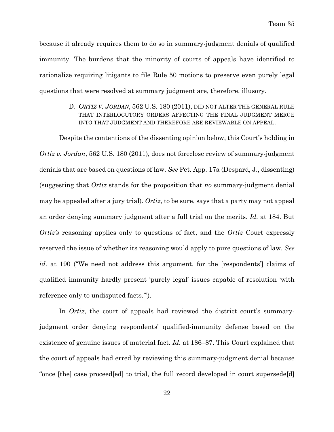because it already requires them to do so in summary-judgment denials of qualified immunity. The burdens that the minority of courts of appeals have identified to rationalize requiring litigants to file Rule 50 motions to preserve even purely legal questions that were resolved at summary judgment are, therefore, illusory.

> D. *ORTIZ V. JORDAN*, 562 U.S. 180 (2011), DID NOT ALTER THE GENERAL RULE THAT INTERLOCUTORY ORDERS AFFECTING THE FINAL JUDGMENT MERGE INTO THAT JUDGMENT AND THEREFORE ARE REVIEWABLE ON APPEAL.

Despite the contentions of the dissenting opinion below, this Court's holding in *Ortiz v. Jordan*, 562 U.S. 180 (2011), does not foreclose review of summary-judgment denials that are based on questions of law. *See* Pet. App. 17a (Despard, J., dissenting) (suggesting that *Ortiz* stands for the proposition that *no* summary-judgment denial may be appealed after a jury trial). *Ortiz*, to be sure, says that a party may not appeal an order denying summary judgment after a full trial on the merits. *Id.* at 184. But *Ortiz's* reasoning applies only to questions of fact, and the *Ortiz* Court expressly reserved the issue of whether its reasoning would apply to pure questions of law. *See id.* at 190 ("We need not address this argument, for the [respondents'] claims of qualified immunity hardly present 'purely legal' issues capable of resolution 'with reference only to undisputed facts.'").

In *Ortiz*, the court of appeals had reviewed the district court's summaryjudgment order denying respondents' qualified-immunity defense based on the existence of genuine issues of material fact. *Id.* at 186–87. This Court explained that the court of appeals had erred by reviewing this summary-judgment denial because "once [the] case proceed[ed] to trial, the full record developed in court supersede[d]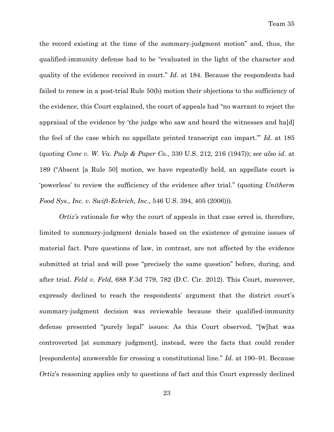the record existing at the time of the summary-judgment motion" and, thus, the qualified-immunity defense had to be "evaluated in the light of the character and quality of the evidence received in court." *Id.* at 184. Because the respondents had failed to renew in a post-trial Rule 50(b) motion their objections to the sufficiency of the evidence, this Court explained, the court of appeals had "no warrant to reject the appraisal of the evidence by 'the judge who saw and heard the witnesses and ha[d] the feel of the case which no appellate printed transcript can impart.'" *Id.* at 185 (quoting *Cone v. W. Va. Pulp & Paper Co*., 330 U.S. 212, 216 (1947)); *see also id.* at 189 ("Absent [a Rule 50] motion, we have repeatedly held, an appellate court is 'powerless' to review the sufficiency of the evidence after trial." (quoting *Unitherm Food Sys., Inc. v. Swift-Eckrich, Inc*., 546 U.S. 394, 405 (2006))).

*Ortiz's* rationale for why the court of appeals in that case erred is, therefore, limited to summary-judgment denials based on the existence of genuine issues of material fact. Pure questions of law, in contrast, are not affected by the evidence submitted at trial and will pose "precisely the same question" before, during, and after trial. *Feld v. Feld*, 688 F.3d 779, 782 (D.C. Cir. 2012). This Court, moreover, expressly declined to reach the respondents' argument that the district court's summary-judgment decision was reviewable because their qualified-immunity defense presented "purely legal" issues: As this Court observed, "[w]hat was controverted [at summary judgment], instead, were the facts that could render [respondents] answerable for crossing a constitutional line." *Id.* at 190–91. Because *Ortiz's* reasoning applies only to questions of fact and this Court expressly declined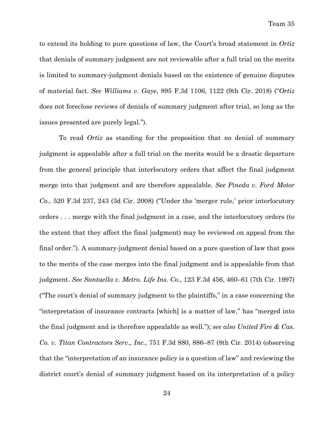to extend its holding to pure questions of law, the Court's broad statement in *Ortiz* that denials of summary judgment are not reviewable after a full trial on the merits is limited to summary-judgment denials based on the existence of genuine disputes of material fact. *See Williams v. Gaye*, 895 F.3d 1106, 1122 (9th Cir. 2018) ("*Ortiz* does not foreclose reviews of denials of summary judgment after trial, so long as the issues presented are purely legal.").

To read *Ortiz* as standing for the proposition that *no* denial of summary judgment is appealable after a full trial on the merits would be a drastic departure from the general principle that interlocutory orders that affect the final judgment merge into that judgment and are therefore appealable. *See Pineda v. Ford Motor Co*., 520 F.3d 237, 243 (3d Cir. 2008) ("Under the 'merger rule,' prior interlocutory orders . . . merge with the final judgment in a case, and the interlocutory orders (to the extent that they affect the final judgment) may be reviewed on appeal from the final order."). A summary-judgment denial based on a pure question of law that goes to the merits of the case merges into the final judgment and is appealable from that judgment. *See Santaella v. Metro. Life Ins. Co*., 123 F.3d 456, 460–61 (7th Cir. 1997) ("The court's denial of summary judgment to the plaintiffs," in a case concerning the "interpretation of insurance contracts [which] is a matter of law," has "merged into the final judgment and is therefore appealable as well."); *see also United Fire & Cas. Co. v. Titan Contractors Serv., Inc.*, 751 F.3d 880, 886–87 (8th Cir. 2014) (observing that the "interpretation of an insurance policy is a question of law" and reviewing the district court's denial of summary judgment based on its interpretation of a policy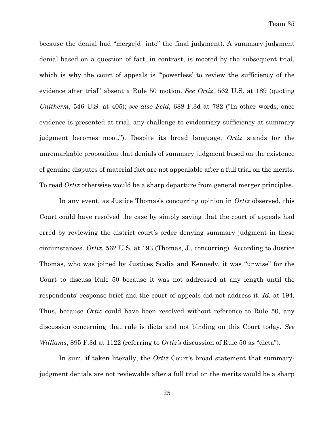because the denial had "merge[d] into" the final judgment). A summary judgment denial based on a question of fact, in contrast, is mooted by the subsequent trial, which is why the court of appeals is "powerless' to review the sufficiency of the evidence after trial" absent a Rule 50 motion. *See Ortiz*, 562 U.S. at 189 (quoting *Unitherm*, 546 U.S. at 405); *see also Feld*, 688 F.3d at 782 ("In other words, once evidence is presented at trial, any challenge to evidentiary sufficiency at summary judgment becomes moot."). Despite its broad language, *Ortiz* stands for the unremarkable proposition that denials of summary judgment based on the existence of genuine disputes of material fact are not appealable after a full trial on the merits. To read *Ortiz* otherwise would be a sharp departure from general merger principles.

In any event, as Justice Thomas's concurring opinion in *Ortiz* observed, this Court could have resolved the case by simply saying that the court of appeals had erred by reviewing the district court's order denying summary judgment in these circumstances. *Ortiz*, 562 U.S. at 193 (Thomas, J., concurring). According to Justice Thomas, who was joined by Justices Scalia and Kennedy, it was "unwise" for the Court to discuss Rule 50 because it was not addressed at any length until the respondents' response brief and the court of appeals did not address it. *Id.* at 194. Thus, because *Ortiz* could have been resolved without reference to Rule 50, any discussion concerning that rule is dicta and not binding on this Court today. *See Williams*, 895 F.3d at 1122 (referring to *Ortiz's* discussion of Rule 50 as "dicta").

In sum, if taken literally, the *Ortiz* Court's broad statement that summaryjudgment denials are not reviewable after a full trial on the merits would be a sharp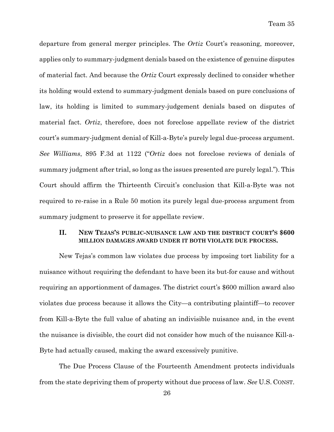departure from general merger principles. The *Ortiz* Court's reasoning, moreover, applies only to summary-judgment denials based on the existence of genuine disputes of material fact. And because the *Ortiz* Court expressly declined to consider whether its holding would extend to summary-judgment denials based on pure conclusions of law, its holding is limited to summary-judgement denials based on disputes of material fact. *Ortiz*, therefore, does not foreclose appellate review of the district court's summary-judgment denial of Kill-a-Byte's purely legal due-process argument. *See Williams*, 895 F.3d at 1122 ("*Ortiz* does not foreclose reviews of denials of summary judgment after trial, so long as the issues presented are purely legal."). This Court should affirm the Thirteenth Circuit's conclusion that Kill-a-Byte was not required to re-raise in a Rule 50 motion its purely legal due-process argument from summary judgment to preserve it for appellate review.

## **II. NEW TEJAS'S PUBLIC-NUISANCE LAW AND THE DISTRICT COURT'S \$600 MILLION DAMAGES AWARD UNDER IT BOTH VIOLATE DUE PROCESS.**

New Tejas's common law violates due process by imposing tort liability for a nuisance without requiring the defendant to have been its but-for cause and without requiring an apportionment of damages. The district court's \$600 million award also violates due process because it allows the City—a contributing plaintiff—to recover from Kill-a-Byte the full value of abating an indivisible nuisance and, in the event the nuisance is divisible, the court did not consider how much of the nuisance Kill-a-Byte had actually caused, making the award excessively punitive.

The Due Process Clause of the Fourteenth Amendment protects individuals from the state depriving them of property without due process of law. *See* U.S. CONST.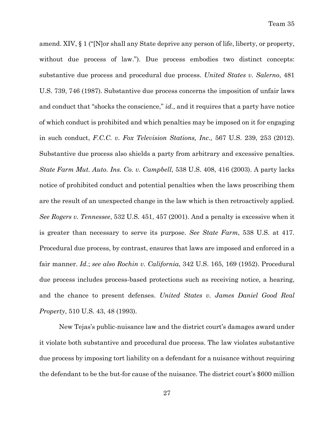amend. XIV, § 1 ("[N]or shall any State deprive any person of life, liberty, or property, without due process of law."). Due process embodies two distinct concepts: substantive due process and procedural due process. *United States v. Salerno*, 481 U.S. 739, 746 (1987). Substantive due process concerns the imposition of unfair laws and conduct that "shocks the conscience," *id.*, and it requires that a party have notice of which conduct is prohibited and which penalties may be imposed on it for engaging in such conduct, *F.C.C. v. Fox Television Stations, Inc.,* 567 U.S. 239, 253 (2012). Substantive due process also shields a party from arbitrary and excessive penalties. *State Farm Mut. Auto. Ins. Co. v. Campbell*, 538 U.S. 408, 416 (2003). A party lacks notice of prohibited conduct and potential penalties when the laws proscribing them are the result of an unexpected change in the law which is then retroactively applied. *See Rogers v. Tennessee*, 532 U.S. 451, 457 (2001). And a penalty is excessive when it is greater than necessary to serve its purpose. *See State Farm*, 538 U.S. at 417. Procedural due process, by contrast, ensures that laws are imposed and enforced in a fair manner. *Id.*; *see also Rochin v. California*, 342 U.S. 165, 169 (1952). Procedural due process includes process-based protections such as receiving notice, a hearing, and the chance to present defenses. *United States v. James Daniel Good Real Property*, 510 U.S. 43, 48 (1993).

New Tejas's public-nuisance law and the district court's damages award under it violate both substantive and procedural due process. The law violates substantive due process by imposing tort liability on a defendant for a nuisance without requiring the defendant to be the but-for cause of the nuisance. The district court's \$600 million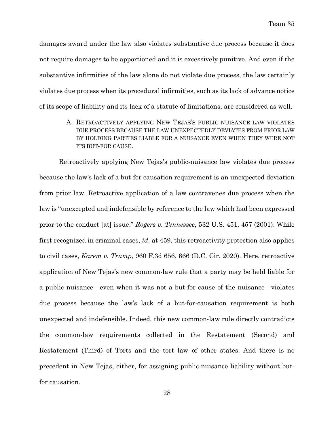damages award under the law also violates substantive due process because it does not require damages to be apportioned and it is excessively punitive. And even if the substantive infirmities of the law alone do not violate due process, the law certainly violates due process when its procedural infirmities, such as its lack of advance notice of its scope of liability and its lack of a statute of limitations, are considered as well.

> A. RETROACTIVELY APPLYING NEW TEJAS'S PUBLIC-NUISANCE LAW VIOLATES DUE PROCESS BECAUSE THE LAW UNEXPECTEDLY DEVIATES FROM PRIOR LAW BY HOLDING PARTIES LIABLE FOR A NUISANCE EVEN WHEN THEY WERE NOT ITS BUT-FOR CAUSE.

Retroactively applying New Tejas's public-nuisance law violates due process because the law's lack of a but-for causation requirement is an unexpected deviation from prior law. Retroactive application of a law contravenes due process when the law is "unexcepted and indefensible by reference to the law which had been expressed prior to the conduct [at] issue." *Rogers v. Tennessee*, 532 U.S. 451, 457 (2001). While first recognized in criminal cases, *id.* at 459, this retroactivity protection also applies to civil cases, *Karem v. Trump*, 960 F.3d 656, 666 (D.C. Cir. 2020). Here, retroactive application of New Tejas's new common-law rule that a party may be held liable for a public nuisance—even when it was not a but-for cause of the nuisance—violates due process because the law's lack of a but-for-causation requirement is both unexpected and indefensible. Indeed, this new common-law rule directly contradicts the common-law requirements collected in the Restatement (Second) and Restatement (Third) of Torts and the tort law of other states. And there is no precedent in New Tejas, either, for assigning public-nuisance liability without butfor causation.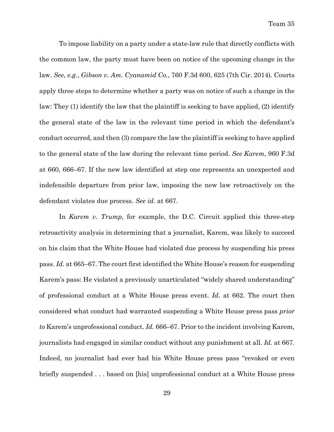To impose liability on a party under a state-law rule that directly conflicts with the common law, the party must have been on notice of the upcoming change in the law. *See, e.g.*, *Gibson v. Am. Cyanamid Co.*, 760 F.3d 600, 625 (7th Cir. 2014). Courts apply three steps to determine whether a party was on notice of such a change in the law: They (1) identify the law that the plaintiff is seeking to have applied, (2) identify the general state of the law in the relevant time period in which the defendant's conduct occurred, and then (3) compare the law the plaintiff is seeking to have applied to the general state of the law during the relevant time period. *See Karem*, 960 F.3d at 660, 666–67. If the new law identified at step one represents an unexpected and indefensible departure from prior law, imposing the new law retroactively on the defendant violates due process. *See id.* at 667.

In *Karem v. Trump*, for example, the D.C. Circuit applied this three-step retroactivity analysis in determining that a journalist, Karem, was likely to succeed on his claim that the White House had violated due process by suspending his press pass. *Id.* at 665–67. The court first identified the White House's reason for suspending Karem's pass: He violated a previously unarticulated "widely shared understanding" of professional conduct at a White House press event. *Id.* at 662. The court then considered what conduct had warranted suspending a White House press pass *prior to* Karem's unprofessional conduct. *Id.* 666–67. Prior to the incident involving Karem, journalists had engaged in similar conduct without any punishment at all. *Id.* at 667. Indeed, no journalist had ever had his White House press pass "revoked or even briefly suspended . . . based on [his] unprofessional conduct at a White House press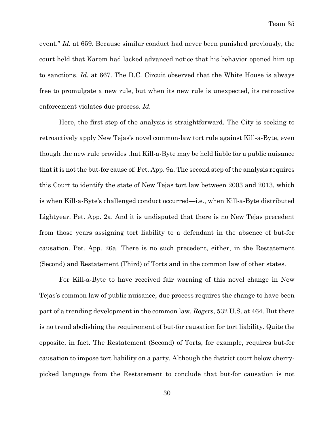event." *Id.* at 659. Because similar conduct had never been punished previously, the court held that Karem had lacked advanced notice that his behavior opened him up to sanctions. *Id.* at 667. The D.C. Circuit observed that the White House is always free to promulgate a new rule, but when its new rule is unexpected, its retroactive enforcement violates due process. *Id.*

Here, the first step of the analysis is straightforward. The City is seeking to retroactively apply New Tejas's novel common-law tort rule against Kill-a-Byte, even though the new rule provides that Kill-a-Byte may be held liable for a public nuisance that it is not the but-for cause of. Pet. App. 9a. The second step of the analysis requires this Court to identify the state of New Tejas tort law between 2003 and 2013, which is when Kill-a-Byte's challenged conduct occurred—i.e., when Kill-a-Byte distributed Lightyear. Pet. App. 2a. And it is undisputed that there is no New Tejas precedent from those years assigning tort liability to a defendant in the absence of but-for causation. Pet. App. 26a. There is no such precedent, either, in the Restatement (Second) and Restatement (Third) of Torts and in the common law of other states.

For Kill-a-Byte to have received fair warning of this novel change in New Tejas's common law of public nuisance, due process requires the change to have been part of a trending development in the common law. *Rogers*, 532 U.S. at 464. But there is no trend abolishing the requirement of but-for causation for tort liability. Quite the opposite, in fact. The Restatement (Second) of Torts, for example, requires but-for causation to impose tort liability on a party. Although the district court below cherrypicked language from the Restatement to conclude that but-for causation is not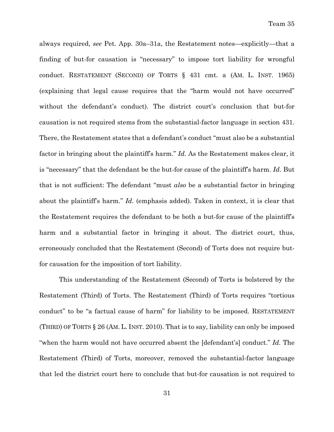always required, *see* Pet. App. 30a–31a, the Restatement notes—explicitly—that a finding of but-for causation is "necessary" to impose tort liability for wrongful conduct. RESTATEMENT (SECOND) OF TORTS § 431 cmt. a (AM. L. INST. 1965) (explaining that legal cause requires that the "harm would not have occurred" without the defendant's conduct). The district court's conclusion that but-for causation is not required stems from the substantial-factor language in section 431. There, the Restatement states that a defendant's conduct "must also be a substantial factor in bringing about the plaintiff's harm." *Id.* As the Restatement makes clear, it is "necessary" that the defendant be the but-for cause of the plaintiff's harm. *Id.* But that is not sufficient: The defendant "must *also* be a substantial factor in bringing about the plaintiff's harm." *Id.* (emphasis added). Taken in context, it is clear that the Restatement requires the defendant to be both a but-for cause of the plaintiff's harm and a substantial factor in bringing it about. The district court, thus, erroneously concluded that the Restatement (Second) of Torts does not require butfor causation for the imposition of tort liability.

This understanding of the Restatement (Second) of Torts is bolstered by the Restatement (Third) of Torts. The Restatement (Third) of Torts requires "tortious conduct" to be "a factual cause of harm" for liability to be imposed. RESTATEMENT (THIRD) OF TORTS § 26 (AM. L. INST. 2010). That is to say, liability can only be imposed "when the harm would not have occurred absent the [defendant's] conduct." *Id.* The Restatement (Third) of Torts, moreover, removed the substantial-factor language that led the district court here to conclude that but-for causation is not required to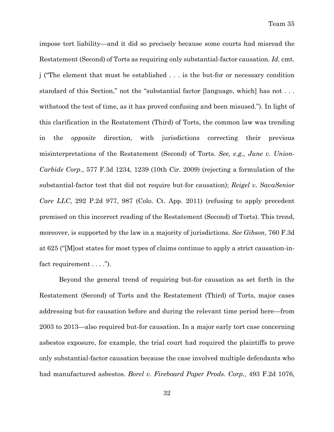impose tort liability—and it did so precisely because some courts had misread the Restatement (Second) of Torts as requiring only substantial-factor causation. *Id.* cmt. j ("The element that must be established . . . is the but-for or necessary condition standard of this Section," not the "substantial factor [language, which] has not . . . withstood the test of time, as it has proved confusing and been misused."). In light of this clarification in the Restatement (Third) of Torts, the common law was trending in the *opposite* direction, with jurisdictions correcting their previous misinterpretations of the Restatement (Second) of Torts. *See, e.g., June v. Union-Carbide Corp.*, 577 F.3d 1234, 1239 (10th Cir. 2009) (rejecting a formulation of the substantial-factor test that did not require but-for causation); *Reigel v. SavaSenior Care LLC*, 292 P.2d 977, 987 (Colo. Ct. App. 2011) (refusing to apply precedent premised on this incorrect reading of the Restatement (Second) of Torts). This trend, moreover, is supported by the law in a majority of jurisdictions. *See Gibson*, 760 F.3d at 625 ("[M]ost states for most types of claims continue to apply a strict causation-infact requirement . . . .").

Beyond the general trend of requiring but-for causation as set forth in the Restatement (Second) of Torts and the Restatement (Third) of Torts, major cases addressing but-for causation before and during the relevant time period here—from 2003 to 2013—also required but-for causation. In a major early tort case concerning asbestos exposure, for example, the trial court had required the plaintiffs to prove only substantial-factor causation because the case involved multiple defendants who had manufactured asbestos. *Borel v. Fireboard Paper Prods. Corp.*, 493 F.2d 1076,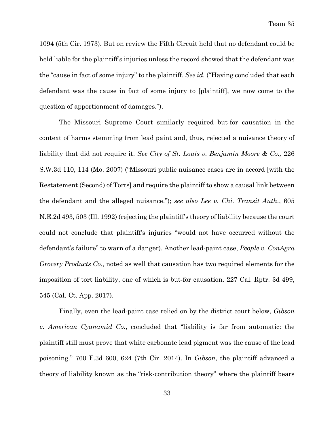1094 (5th Cir. 1973). But on review the Fifth Circuit held that no defendant could be held liable for the plaintiff's injuries unless the record showed that the defendant was the "cause in fact of some injury" to the plaintiff. *See id.* ("Having concluded that each defendant was the cause in fact of some injury to [plaintiff], we now come to the question of apportionment of damages.").

The Missouri Supreme Court similarly required but-for causation in the context of harms stemming from lead paint and, thus, rejected a nuisance theory of liability that did not require it. *See City of St. Louis v. Benjamin Moore & Co.,* 226 S.W.3d 110, 114 (Mo. 2007) ("Missouri public nuisance cases are in accord [with the Restatement (Second) of Torts] and require the plaintiff to show a causal link between the defendant and the alleged nuisance."); *see also Lee v. Chi. Transit Auth.*, 605 N.E.2d 493, 503 (Ill. 1992) (rejecting the plaintiff's theory of liability because the court could not conclude that plaintiff's injuries "would not have occurred without the defendant's failure" to warn of a danger). Another lead-paint case, *People v. ConAgra Grocery Products Co.,* noted as well that causation has two required elements for the imposition of tort liability, one of which is but-for causation. 227 Cal. Rptr. 3d 499, 545 (Cal. Ct. App. 2017).

Finally, even the lead-paint case relied on by the district court below, *Gibson v. American Cyanamid Co.*, concluded that "liability is far from automatic: the plaintiff still must prove that white carbonate lead pigment was the cause of the lead poisoning." 760 F.3d 600, 624 (7th Cir. 2014). In *Gibson*, the plaintiff advanced a theory of liability known as the "risk-contribution theory" where the plaintiff bears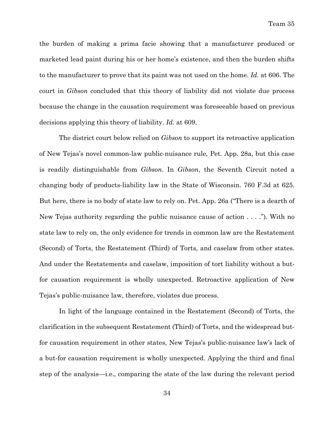the burden of making a prima facie showing that a manufacturer produced or marketed lead paint during his or her home's existence, and then the burden shifts to the manufacturer to prove that its paint was not used on the home. *Id.* at 606. The court in *Gibson* concluded that this theory of liability did not violate due process because the change in the causation requirement was foreseeable based on previous decisions applying this theory of liability. *Id.* at 609.

The district court below relied on *Gibson* to support its retroactive application of New Tejas's novel common-law public-nuisance rule*,* Pet. App. 28a, but this case is readily distinguishable from *Gibson*. In *Gibson*, the Seventh Circuit noted a changing body of products-liability law in the State of Wisconsin. 760 F.3d at 625. But here, there is no body of state law to rely on. Pet. App. 26a ("There is a dearth of New Tejas authority regarding the public nuisance cause of action . . . ."). With no state law to rely on, the only evidence for trends in common law are the Restatement (Second) of Torts, the Restatement (Third) of Torts, and caselaw from other states. And under the Restatements and caselaw, imposition of tort liability without a butfor causation requirement is wholly unexpected. Retroactive application of New Tejas's public-nuisance law, therefore, violates due process.

In light of the language contained in the Restatement (Second) of Torts, the clarification in the subsequent Restatement (Third) of Torts, and the widespread butfor causation requirement in other states, New Tejas's public-nuisance law's lack of a but-for causation requirement is wholly unexpected. Applying the third and final step of the analysis—i.e., comparing the state of the law during the relevant period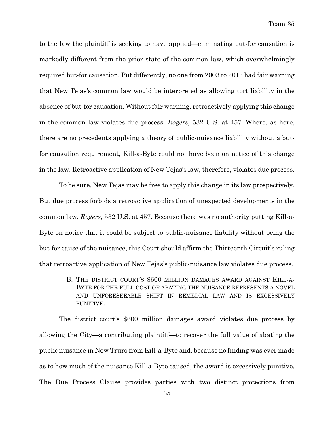to the law the plaintiff is seeking to have applied—eliminating but-for causation is markedly different from the prior state of the common law, which overwhelmingly required but-for causation. Put differently, no one from 2003 to 2013 had fair warning that New Tejas's common law would be interpreted as allowing tort liability in the absence of but-for causation. Without fair warning, retroactively applying this change in the common law violates due process. *Rogers*, 532 U.S. at 457. Where, as here, there are no precedents applying a theory of public-nuisance liability without a butfor causation requirement, Kill-a-Byte could not have been on notice of this change in the law. Retroactive application of New Tejas's law, therefore, violates due process.

To be sure, New Tejas may be free to apply this change in its law prospectively. But due process forbids a retroactive application of unexpected developments in the common law. *Rogers*, 532 U.S. at 457. Because there was no authority putting Kill-a-Byte on notice that it could be subject to public-nuisance liability without being the but-for cause of the nuisance, this Court should affirm the Thirteenth Circuit's ruling that retroactive application of New Tejas's public-nuisance law violates due process.

> B. THE DISTRICT COURT'S \$600 MILLION DAMAGES AWARD AGAINST KILL-A-BYTE FOR THE FULL COST OF ABATING THE NUISANCE REPRESENTS A NOVEL AND UNFORESEEABLE SHIFT IN REMEDIAL LAW AND IS EXCESSIVELY PUNITIVE.

The district court's \$600 million damages award violates due process by allowing the City—a contributing plaintiff—to recover the full value of abating the public nuisance in New Truro from Kill-a-Byte and, because no finding was ever made as to how much of the nuisance Kill-a-Byte caused, the award is excessively punitive. The Due Process Clause provides parties with two distinct protections from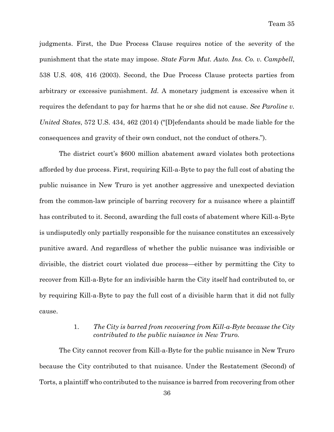judgments. First, the Due Process Clause requires notice of the severity of the punishment that the state may impose. *State Farm Mut. Auto. Ins. Co. v. Campbell*, 538 U.S. 408, 416 (2003). Second, the Due Process Clause protects parties from arbitrary or excessive punishment. *Id.* A monetary judgment is excessive when it requires the defendant to pay for harms that he or she did not cause. *See Paroline v. United States*, 572 U.S. 434, 462 (2014) ("[D]efendants should be made liable for the consequences and gravity of their own conduct, not the conduct of others.").

The district court's \$600 million abatement award violates both protections afforded by due process. First, requiring Kill-a-Byte to pay the full cost of abating the public nuisance in New Truro is yet another aggressive and unexpected deviation from the common-law principle of barring recovery for a nuisance where a plaintiff has contributed to it. Second, awarding the full costs of abatement where Kill-a-Byte is undisputedly only partially responsible for the nuisance constitutes an excessively punitive award. And regardless of whether the public nuisance was indivisible or divisible, the district court violated due process—either by permitting the City to recover from Kill-a-Byte for an indivisible harm the City itself had contributed to, or by requiring Kill-a-Byte to pay the full cost of a divisible harm that it did not fully cause.

# 1. *The City is barred from recovering from Kill-a-Byte because the City contributed to the public nuisance in New Truro.*

The City cannot recover from Kill-a-Byte for the public nuisance in New Truro because the City contributed to that nuisance. Under the Restatement (Second) of Torts, a plaintiff who contributed to the nuisance is barred from recovering from other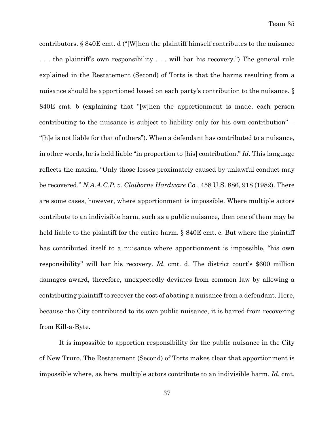contributors. § 840E cmt. d ("[W]hen the plaintiff himself contributes to the nuisance . . . the plaintiff's own responsibility . . . will bar his recovery.") The general rule explained in the Restatement (Second) of Torts is that the harms resulting from a nuisance should be apportioned based on each party's contribution to the nuisance. § 840E cmt. b (explaining that "[w]hen the apportionment is made, each person contributing to the nuisance is subject to liability only for his own contribution"— "[h]e is not liable for that of others"). When a defendant has contributed to a nuisance, in other words, he is held liable "in proportion to [his] contribution." *Id.* This language reflects the maxim, "Only those losses proximately caused by unlawful conduct may be recovered." *N.A.A.C.P. v. Claiborne Hardware Co.*, 458 U.S. 886, 918 (1982). There are some cases, however, where apportionment is impossible. Where multiple actors contribute to an indivisible harm, such as a public nuisance, then one of them may be held liable to the plaintiff for the entire harm. § 840E cmt. c. But where the plaintiff has contributed itself to a nuisance where apportionment is impossible, "his own responsibility" will bar his recovery. *Id.* cmt. d. The district court's \$600 million damages award, therefore, unexpectedly deviates from common law by allowing a contributing plaintiff to recover the cost of abating a nuisance from a defendant. Here, because the City contributed to its own public nuisance, it is barred from recovering from Kill-a-Byte.

It is impossible to apportion responsibility for the public nuisance in the City of New Truro. The Restatement (Second) of Torts makes clear that apportionment is impossible where, as here, multiple actors contribute to an indivisible harm. *Id.* cmt.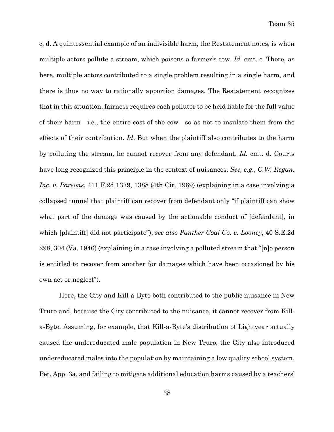c, d. A quintessential example of an indivisible harm, the Restatement notes, is when multiple actors pollute a stream, which poisons a farmer's cow. *Id.* cmt. c. There, as here, multiple actors contributed to a single problem resulting in a single harm, and there is thus no way to rationally apportion damages. The Restatement recognizes that in this situation, fairness requires each polluter to be held liable for the full value of their harm—i.e., the entire cost of the cow—so as not to insulate them from the effects of their contribution. *Id*. But when the plaintiff also contributes to the harm by polluting the stream, he cannot recover from any defendant. *Id.* cmt. d. Courts have long recognized this principle in the context of nuisances. *See, e.g.*, *C.W. Regan, Inc. v. Parsons*, 411 F.2d 1379, 1388 (4th Cir. 1969) (explaining in a case involving a collapsed tunnel that plaintiff can recover from defendant only "if plaintiff can show what part of the damage was caused by the actionable conduct of [defendant], in which [plaintiff] did not participate"); *see also Panther Coal Co. v. Looney*, 40 S.E.2d 298, 304 (Va. 1946) (explaining in a case involving a polluted stream that "[n]o person is entitled to recover from another for damages which have been occasioned by his own act or neglect").

Here, the City and Kill-a-Byte both contributed to the public nuisance in New Truro and, because the City contributed to the nuisance, it cannot recover from Killa-Byte. Assuming, for example, that Kill-a-Byte's distribution of Lightyear actually caused the undereducated male population in New Truro, the City also introduced undereducated males into the population by maintaining a low quality school system, Pet. App. 3a, and failing to mitigate additional education harms caused by a teachers'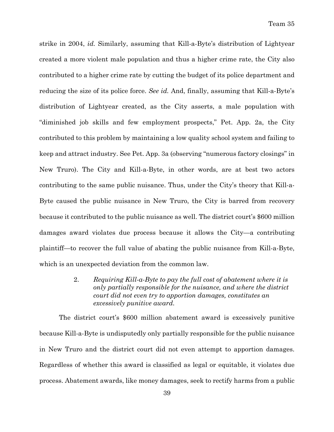strike in 2004, *id.* Similarly, assuming that Kill-a-Byte's distribution of Lightyear created a more violent male population and thus a higher crime rate, the City also contributed to a higher crime rate by cutting the budget of its police department and reducing the size of its police force. *See id.* And, finally, assuming that Kill-a-Byte's distribution of Lightyear created, as the City asserts, a male population with "diminished job skills and few employment prospects," Pet. App. 2a, the City contributed to this problem by maintaining a low quality school system and failing to keep and attract industry. See Pet. App. 3a (observing "numerous factory closings" in New Truro). The City and Kill-a-Byte, in other words, are at best two actors contributing to the same public nuisance. Thus, under the City's theory that Kill-a-Byte caused the public nuisance in New Truro, the City is barred from recovery because it contributed to the public nuisance as well. The district court's \$600 million damages award violates due process because it allows the City—a contributing plaintiff—to recover the full value of abating the public nuisance from Kill-a-Byte, which is an unexpected deviation from the common law.

> 2. *Requiring Kill-a-Byte to pay the full cost of abatement where it is only partially responsible for the nuisance, and where the district court did not even try to apportion damages, constitutes an excessively punitive award.*

The district court's \$600 million abatement award is excessively punitive because Kill-a-Byte is undisputedly only partially responsible for the public nuisance in New Truro and the district court did not even attempt to apportion damages. Regardless of whether this award is classified as legal or equitable, it violates due process. Abatement awards, like money damages, seek to rectify harms from a public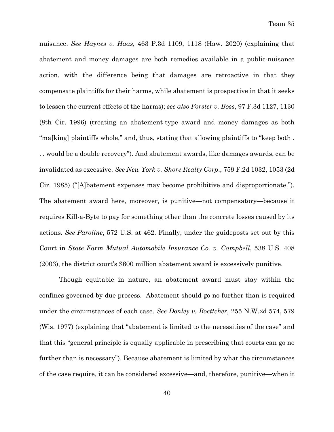nuisance. *See Haynes v. Haas*, 463 P.3d 1109, 1118 (Haw. 2020) (explaining that abatement and money damages are both remedies available in a public-nuisance action, with the difference being that damages are retroactive in that they compensate plaintiffs for their harms, while abatement is prospective in that it seeks to lessen the current effects of the harms); *see also Forster v. Boss*, 97 F.3d 1127, 1130 (8th Cir. 1996) (treating an abatement-type award and money damages as both "ma[king] plaintiffs whole," and, thus, stating that allowing plaintiffs to "keep both . . . would be a double recovery"). And abatement awards, like damages awards, can be invalidated as excessive. *See New York v. Shore Realty Corp*., 759 F.2d 1032, 1053 (2d Cir. 1985) ("[A]batement expenses may become prohibitive and disproportionate."). The abatement award here, moreover, is punitive—not compensatory—because it requires Kill-a-Byte to pay for something other than the concrete losses caused by its actions. *See Paroline*, 572 U.S. at 462. Finally, under the guideposts set out by this Court in *State Farm Mutual Automobile Insurance Co. v. Campbell*, 538 U.S. 408 (2003), the district court's \$600 million abatement award is excessively punitive.

Though equitable in nature, an abatement award must stay within the confines governed by due process. Abatement should go no further than is required under the circumstances of each case. *See Donley v. Boettcher*, 255 N.W.2d 574, 579 (Wis. 1977) (explaining that "abatement is limited to the necessities of the case" and that this "general principle is equally applicable in prescribing that courts can go no further than is necessary"). Because abatement is limited by what the circumstances of the case require, it can be considered excessive—and, therefore, punitive—when it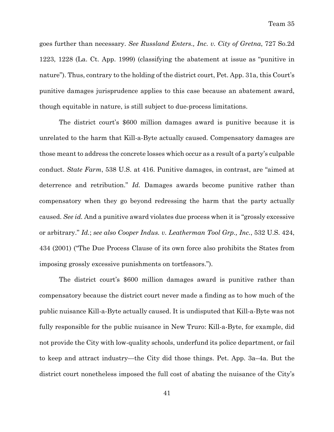goes further than necessary. *See Russland Enters., Inc. v. City of Gretna*, 727 So.2d 1223, 1228 (La. Ct. App. 1999) (classifying the abatement at issue as "punitive in nature"). Thus, contrary to the holding of the district court, Pet. App. 31a, this Court's punitive damages jurisprudence applies to this case because an abatement award, though equitable in nature, is still subject to due-process limitations.

The district court's \$600 million damages award is punitive because it is unrelated to the harm that Kill-a-Byte actually caused. Compensatory damages are those meant to address the concrete losses which occur as a result of a party's culpable conduct. *State Farm*, 538 U.S. at 416. Punitive damages, in contrast, are "aimed at deterrence and retribution." *Id.* Damages awards become punitive rather than compensatory when they go beyond redressing the harm that the party actually caused. *See id.* And a punitive award violates due process when it is "grossly excessive or arbitrary." *Id.*; *see also Cooper Indus. v. Leatherman Tool Grp., Inc.*, 532 U.S. 424, 434 (2001) ("The Due Process Clause of its own force also prohibits the States from imposing grossly excessive punishments on tortfeasors.").

The district court's \$600 million damages award is punitive rather than compensatory because the district court never made a finding as to how much of the public nuisance Kill-a-Byte actually caused. It is undisputed that Kill-a-Byte was not fully responsible for the public nuisance in New Truro: Kill-a-Byte, for example, did not provide the City with low-quality schools, underfund its police department, or fail to keep and attract industry—the City did those things. Pet. App. 3a–4a. But the district court nonetheless imposed the full cost of abating the nuisance of the City's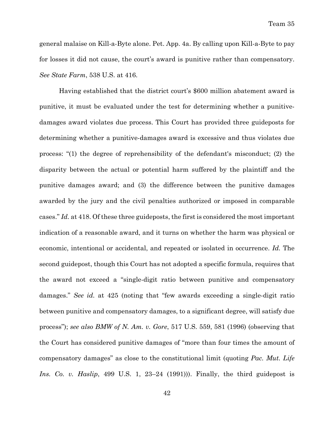general malaise on Kill-a-Byte alone. Pet. App. 4a. By calling upon Kill-a-Byte to pay for losses it did not cause, the court's award is punitive rather than compensatory. *See State Farm*, 538 U.S. at 416.

Having established that the district court's \$600 million abatement award is punitive, it must be evaluated under the test for determining whether a punitivedamages award violates due process. This Court has provided three guideposts for determining whether a punitive-damages award is excessive and thus violates due process: "(1) the degree of reprehensibility of the defendant's misconduct; (2) the disparity between the actual or potential harm suffered by the plaintiff and the punitive damages award; and (3) the difference between the punitive damages awarded by the jury and the civil penalties authorized or imposed in comparable cases." *Id.* at 418. Of these three guideposts, the first is considered the most important indication of a reasonable award, and it turns on whether the harm was physical or economic, intentional or accidental, and repeated or isolated in occurrence. *Id.* The second guidepost, though this Court has not adopted a specific formula, requires that the award not exceed a "single-digit ratio between punitive and compensatory damages." *See id.* at 425 (noting that "few awards exceeding a single-digit ratio between punitive and compensatory damages, to a significant degree, will satisfy due process"); *see also BMW of N. Am. v. Gore*, 517 U.S. 559, 581 (1996) (observing that the Court has considered punitive damages of "more than four times the amount of compensatory damages" as close to the constitutional limit (quoting *Pac. Mut. Life Ins. Co. v. Haslip*, 499 U.S. 1, 23–24 (1991))). Finally, the third guidepost is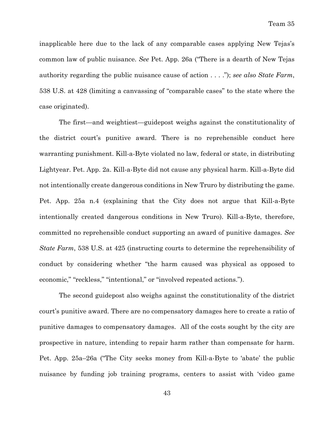inapplicable here due to the lack of any comparable cases applying New Tejas's common law of public nuisance. *See* Pet. App. 26a ("There is a dearth of New Tejas authority regarding the public nuisance cause of action . . . ."); *see also State Farm*, 538 U.S. at 428 (limiting a canvassing of "comparable cases" to the state where the case originated).

The first—and weightiest—guidepost weighs against the constitutionality of the district court's punitive award. There is no reprehensible conduct here warranting punishment. Kill-a-Byte violated no law, federal or state, in distributing Lightyear. Pet. App. 2a. Kill-a-Byte did not cause any physical harm. Kill-a-Byte did not intentionally create dangerous conditions in New Truro by distributing the game. Pet. App. 25a n.4 (explaining that the City does not argue that Kill-a-Byte intentionally created dangerous conditions in New Truro). Kill-a-Byte, therefore, committed no reprehensible conduct supporting an award of punitive damages. *See State Farm*, 538 U.S. at 425 (instructing courts to determine the reprehensibility of conduct by considering whether "the harm caused was physical as opposed to economic," "reckless," "intentional," or "involved repeated actions.").

The second guidepost also weighs against the constitutionality of the district court's punitive award. There are no compensatory damages here to create a ratio of punitive damages to compensatory damages. All of the costs sought by the city are prospective in nature, intending to repair harm rather than compensate for harm. Pet. App. 25a–26a ("The City seeks money from Kill-a-Byte to 'abate' the public nuisance by funding job training programs, centers to assist with 'video game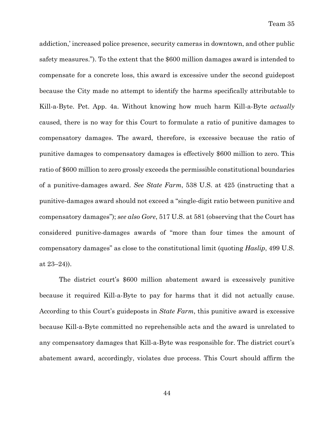addiction,' increased police presence, security cameras in downtown, and other public safety measures."). To the extent that the \$600 million damages award is intended to compensate for a concrete loss, this award is excessive under the second guidepost because the City made no attempt to identify the harms specifically attributable to Kill-a-Byte. Pet. App. 4a. Without knowing how much harm Kill-a-Byte *actually* caused, there is no way for this Court to formulate a ratio of punitive damages to compensatory damages. The award, therefore, is excessive because the ratio of punitive damages to compensatory damages is effectively \$600 million to zero. This ratio of \$600 million to zero grossly exceeds the permissible constitutional boundaries of a punitive-damages award. *See State Farm*, 538 U.S. at 425 (instructing that a punitive-damages award should not exceed a "single-digit ratio between punitive and compensatory damages"); *see also Gore*, 517 U.S. at 581 (observing that the Court has considered punitive-damages awards of "more than four times the amount of compensatory damages" as close to the constitutional limit (quoting *Haslip*, 499 U.S. at  $23-24$ ).

The district court's \$600 million abatement award is excessively punitive because it required Kill-a-Byte to pay for harms that it did not actually cause. According to this Court's guideposts in *State Farm*, this punitive award is excessive because Kill-a-Byte committed no reprehensible acts and the award is unrelated to any compensatory damages that Kill-a-Byte was responsible for. The district court's abatement award, accordingly, violates due process. This Court should affirm the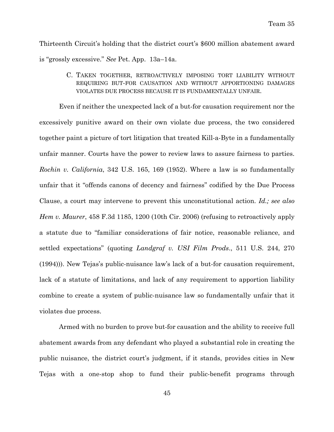Thirteenth Circuit's holding that the district court's \$600 million abatement award is "grossly excessive." *See* Pet. App. 13a–14a.

> C. TAKEN TOGETHER, RETROACTIVELY IMPOSING TORT LIABILITY WITHOUT REQUIRING BUT-FOR CAUSATION AND WITHOUT APPORTIONING DAMAGES VIOLATES DUE PROCESS BECAUSE IT IS FUNDAMENTALLY UNFAIR.

Even if neither the unexpected lack of a but-for causation requirement nor the excessively punitive award on their own violate due process, the two considered together paint a picture of tort litigation that treated Kill-a-Byte in a fundamentally unfair manner. Courts have the power to review laws to assure fairness to parties. *Rochin v. California*, 342 U.S. 165, 169 (1952). Where a law is so fundamentally unfair that it "offends canons of decency and fairness" codified by the Due Process Clause, a court may intervene to prevent this unconstitutional action. *Id.; see also Hem v. Maurer*, 458 F.3d 1185, 1200 (10th Cir. 2006) (refusing to retroactively apply a statute due to "familiar considerations of fair notice, reasonable reliance, and settled expectations" (quoting *Landgraf v. USI Film Prods*., 511 U.S. 244, 270 (1994))). New Tejas's public-nuisance law's lack of a but-for causation requirement, lack of a statute of limitations, and lack of any requirement to apportion liability combine to create a system of public-nuisance law so fundamentally unfair that it violates due process.

Armed with no burden to prove but-for causation and the ability to receive full abatement awards from any defendant who played a substantial role in creating the public nuisance, the district court's judgment, if it stands, provides cities in New Tejas with a one-stop shop to fund their public-benefit programs through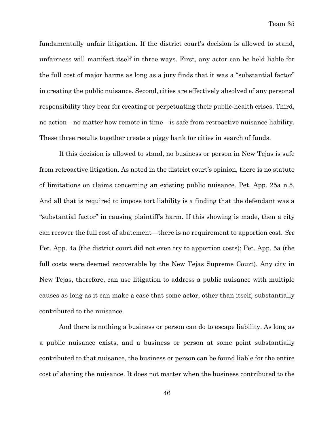fundamentally unfair litigation. If the district court's decision is allowed to stand, unfairness will manifest itself in three ways. First, any actor can be held liable for the full cost of major harms as long as a jury finds that it was a "substantial factor" in creating the public nuisance. Second, cities are effectively absolved of any personal responsibility they bear for creating or perpetuating their public-health crises. Third, no action—no matter how remote in time—is safe from retroactive nuisance liability. These three results together create a piggy bank for cities in search of funds.

If this decision is allowed to stand, no business or person in New Tejas is safe from retroactive litigation. As noted in the district court's opinion, there is no statute of limitations on claims concerning an existing public nuisance. Pet. App. 25a n.5. And all that is required to impose tort liability is a finding that the defendant was a "substantial factor" in causing plaintiff's harm. If this showing is made, then a city can recover the full cost of abatement—there is no requirement to apportion cost. *See*  Pet. App. 4a (the district court did not even try to apportion costs); Pet. App. 5a (the full costs were deemed recoverable by the New Tejas Supreme Court). Any city in New Tejas, therefore, can use litigation to address a public nuisance with multiple causes as long as it can make a case that some actor, other than itself, substantially contributed to the nuisance.

And there is nothing a business or person can do to escape liability. As long as a public nuisance exists, and a business or person at some point substantially contributed to that nuisance, the business or person can be found liable for the entire cost of abating the nuisance. It does not matter when the business contributed to the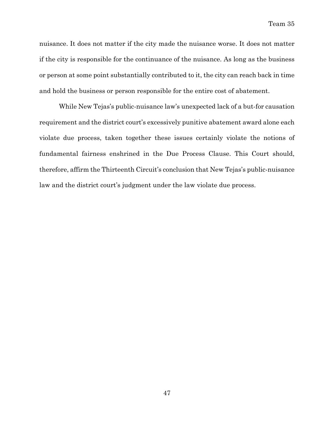nuisance. It does not matter if the city made the nuisance worse. It does not matter if the city is responsible for the continuance of the nuisance. As long as the business or person at some point substantially contributed to it, the city can reach back in time and hold the business or person responsible for the entire cost of abatement.

While New Tejas's public-nuisance law's unexpected lack of a but-for causation requirement and the district court's excessively punitive abatement award alone each violate due process, taken together these issues certainly violate the notions of fundamental fairness enshrined in the Due Process Clause. This Court should, therefore, affirm the Thirteenth Circuit's conclusion that New Tejas's public-nuisance law and the district court's judgment under the law violate due process.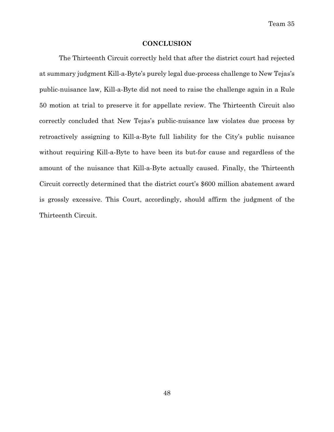Team 35

#### **CONCLUSION**

The Thirteenth Circuit correctly held that after the district court had rejected at summary judgment Kill-a-Byte's purely legal due-process challenge to New Tejas's public-nuisance law, Kill-a-Byte did not need to raise the challenge again in a Rule 50 motion at trial to preserve it for appellate review. The Thirteenth Circuit also correctly concluded that New Tejas's public-nuisance law violates due process by retroactively assigning to Kill-a-Byte full liability for the City's public nuisance without requiring Kill-a-Byte to have been its but-for cause and regardless of the amount of the nuisance that Kill-a-Byte actually caused. Finally, the Thirteenth Circuit correctly determined that the district court's \$600 million abatement award is grossly excessive. This Court, accordingly, should affirm the judgment of the Thirteenth Circuit.